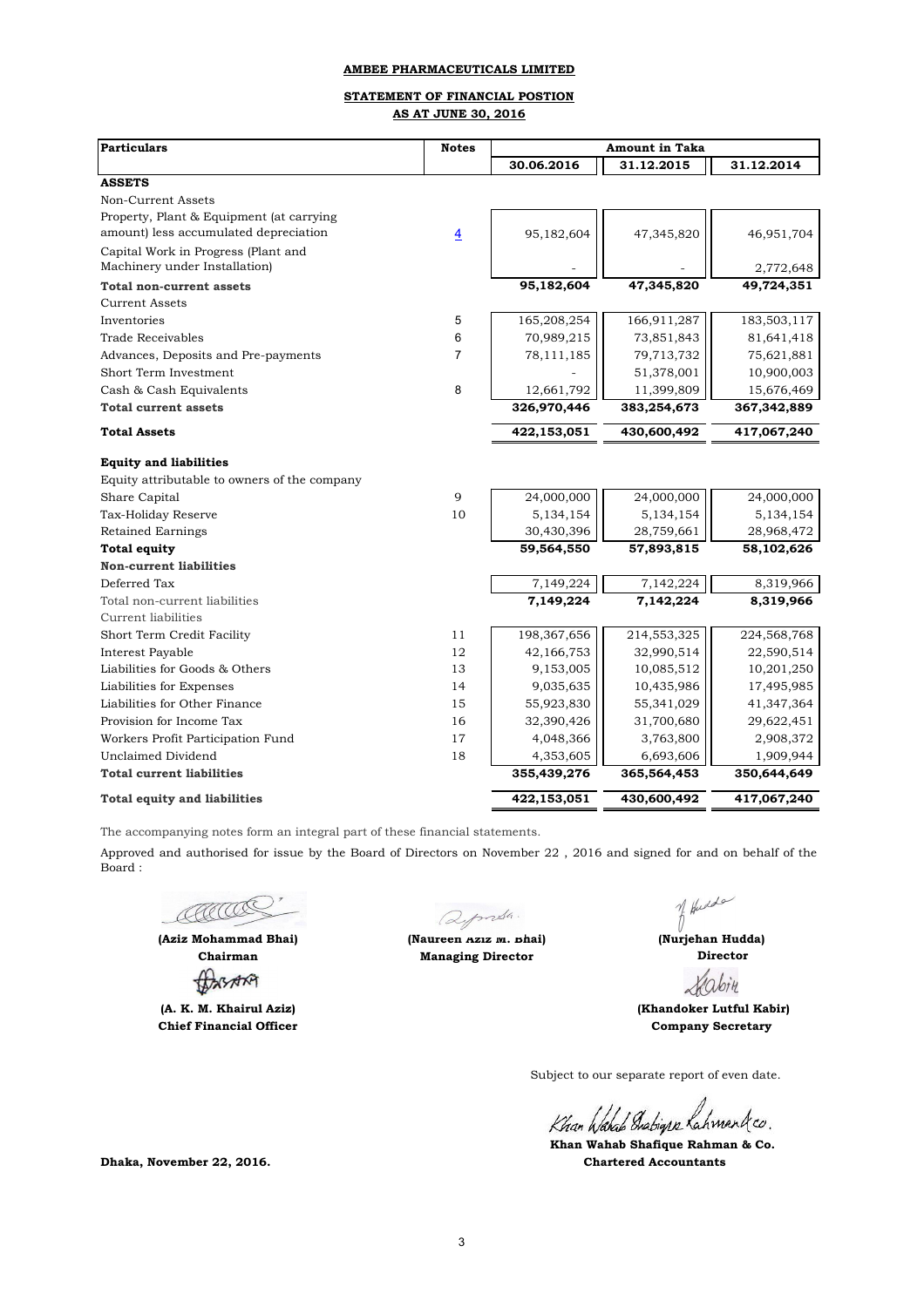# **STATEMENT OF FINANCIAL POSTION AS AT JUNE 30, 2016**

| <b>Particulars</b>                           | <b>Notes</b>   | <b>Amount in Taka</b> |             |             |  |
|----------------------------------------------|----------------|-----------------------|-------------|-------------|--|
|                                              |                | 30.06.2016            | 31.12.2015  | 31.12.2014  |  |
| <b>ASSETS</b>                                |                |                       |             |             |  |
| Non-Current Assets                           |                |                       |             |             |  |
| Property, Plant & Equipment (at carrying     |                |                       |             |             |  |
| amount) less accumulated depreciation        | $\overline{4}$ | 95,182,604            | 47,345,820  | 46,951,704  |  |
| Capital Work in Progress (Plant and          |                |                       |             |             |  |
| Machinery under Installation)                |                |                       |             | 2,772,648   |  |
| Total non-current assets                     |                | 95,182,604            | 47,345,820  | 49,724,351  |  |
| <b>Current Assets</b>                        |                |                       |             |             |  |
| Inventories                                  | 5              | 165,208,254           | 166,911,287 | 183,503,117 |  |
| <b>Trade Receivables</b>                     | 6              | 70,989,215            | 73,851,843  | 81,641,418  |  |
| Advances, Deposits and Pre-payments          | 7              | 78,111,185            | 79,713,732  | 75,621,881  |  |
| Short Term Investment                        |                |                       | 51,378,001  | 10,900,003  |  |
| Cash & Cash Equivalents                      | 8              | 12,661,792            | 11,399,809  | 15,676,469  |  |
| <b>Total current assets</b>                  |                | 326,970,446           | 383,254,673 | 367,342,889 |  |
| <b>Total Assets</b>                          |                | 422,153,051           | 430,600,492 | 417,067,240 |  |
| <b>Equity and liabilities</b>                |                |                       |             |             |  |
| Equity attributable to owners of the company |                |                       |             |             |  |
| Share Capital                                | 9              | 24,000,000            | 24,000,000  | 24,000,000  |  |
| Tax-Holiday Reserve                          | 10             | 5,134,154             | 5,134,154   | 5, 134, 154 |  |
| <b>Retained Earnings</b>                     |                | 30,430,396            | 28,759,661  | 28,968,472  |  |
| <b>Total equity</b>                          |                | 59,564,550            | 57,893,815  | 58,102,626  |  |
| <b>Non-current liabilities</b>               |                |                       |             |             |  |
| Deferred Tax                                 |                | 7,149,224             | 7,142,224   | 8,319,966   |  |
| Total non-current liabilities                |                | 7,149,224             | 7,142,224   | 8,319,966   |  |
| <b>Current liabilities</b>                   |                |                       |             |             |  |
| Short Term Credit Facility                   | 11             | 198, 367, 656         | 214,553,325 | 224,568,768 |  |
| Interest Payable                             | 12             | 42,166,753            | 32,990,514  | 22,590,514  |  |
| Liabilities for Goods & Others               | 13             | 9,153,005             | 10,085,512  | 10,201,250  |  |
| Liabilities for Expenses                     | 14             | 9,035,635             | 10,435,986  | 17,495,985  |  |
| Liabilities for Other Finance                | 15             | 55,923,830            | 55,341,029  | 41,347,364  |  |
| Provision for Income Tax                     | 16             | 32,390,426            | 31,700,680  | 29,622,451  |  |
| Workers Profit Participation Fund            | 17             | 4,048,366             | 3,763,800   | 2,908,372   |  |
| <b>Unclaimed Dividend</b>                    | 18             | 4,353,605             | 6,693,606   | 1,909,944   |  |
| <b>Total current liabilities</b>             |                | 355,439,276           | 365,564,453 | 350,644,649 |  |
| <b>Total equity and liabilities</b>          |                | 422,153,051           | 430,600,492 | 417,067,240 |  |

The accompanying notes form an integral part of these financial statements.

Approved and authorised for issue by the Board of Directors on November 22 , 2016 and signed for and on behalf of the Board :

AACCO

**(Aziz Mohammad Bhai) Chairman**

**(A. K. M. Khairul Aziz) Chief Financial Officer**

Qymsh. **(Naureen Aziz M. Bhai)** 

**Managing Director** 

of Hudde

 **Director (Nurjehan Hudda)**

bin

**Company Secretary (Khandoker Lutful Kabir)**

Subject to our separate report of even date.

Khan Wahal Diabigra Lahmankco.

 **Khan Wahab Shafique Rahman & Co. Dhaka, November 22, 2016. Chartered Accountants**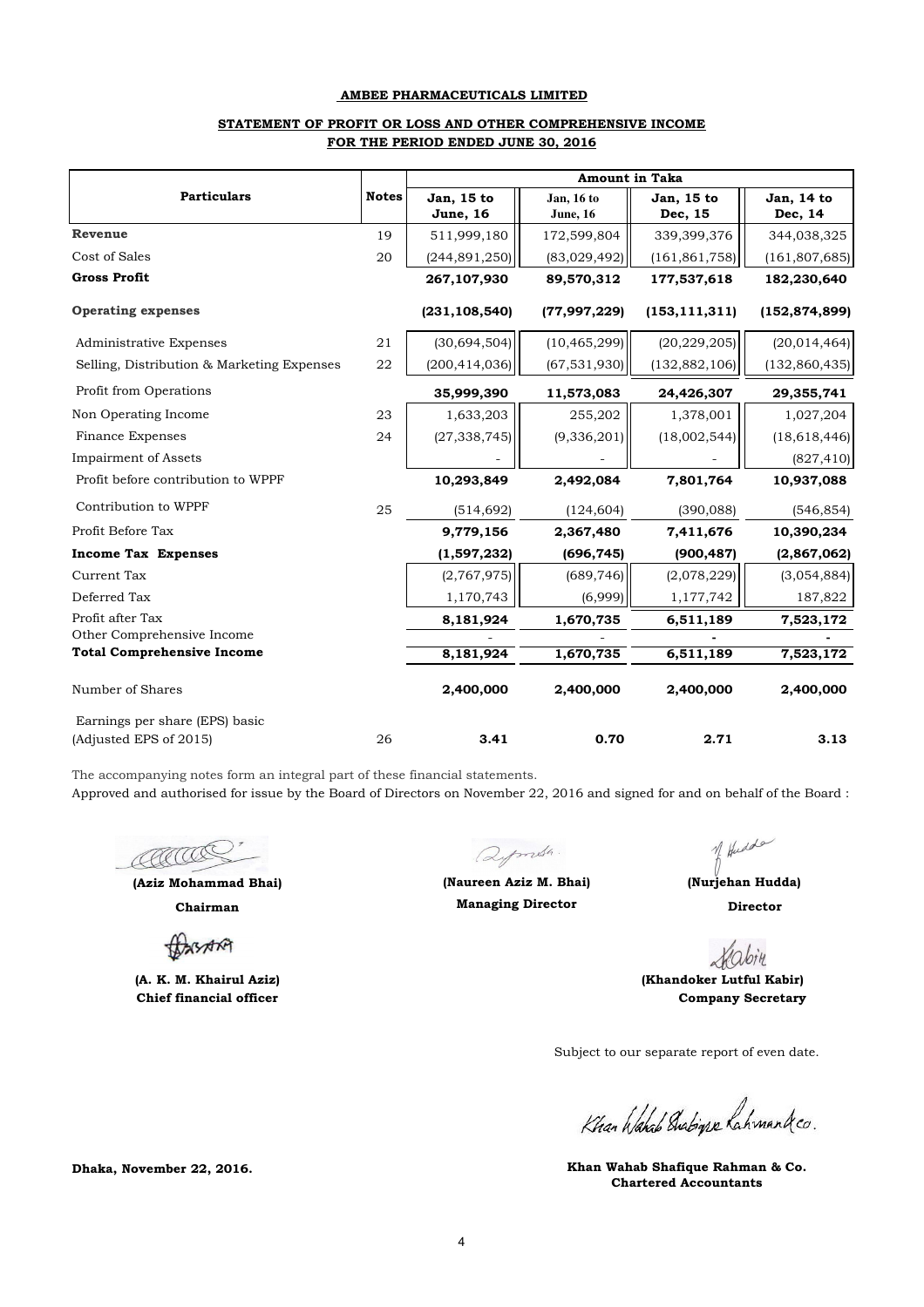## **STATEMENT OF PROFIT OR LOSS AND OTHER COMPREHENSIVE INCOME FOR THE PERIOD ENDED JUNE 30, 2016**

|                                                          |              | <b>Amount in Taka</b>          |                                |                       |                       |  |  |
|----------------------------------------------------------|--------------|--------------------------------|--------------------------------|-----------------------|-----------------------|--|--|
| <b>Particulars</b>                                       | <b>Notes</b> | Jan, 15 to<br><b>June</b> , 16 | Jan, 16 to<br><b>June</b> , 16 | Jan, 15 to<br>Dec, 15 | Jan, 14 to<br>Dec, 14 |  |  |
| <b>Revenue</b>                                           | 19           | 511,999,180                    | 172,599,804                    | 339,399,376           | 344,038,325           |  |  |
| Cost of Sales                                            | 20           | (244, 891, 250)                | (83,029,492)                   | (161, 861, 758)       | (161, 807, 685)       |  |  |
| <b>Gross Profit</b>                                      |              | 267,107,930                    | 89,570,312                     | 177,537,618           | 182,230,640           |  |  |
| <b>Operating expenses</b>                                |              | (231, 108, 540)                | (77,997,229)                   | (153, 111, 311)       | (152, 874, 899)       |  |  |
| Administrative Expenses                                  | 21           | (30,694,504)                   | (10, 465, 299)                 | (20, 229, 205)        | (20, 014, 464)        |  |  |
| Selling, Distribution & Marketing Expenses               | 22           | (200, 414, 036)                | (67, 531, 930)                 | (132, 882, 106)       | (132, 860, 435)       |  |  |
| Profit from Operations                                   |              | 35,999,390                     | 11,573,083                     | 24,426,307            | 29,355,741            |  |  |
| Non Operating Income                                     | 23           | 1,633,203                      | 255,202                        | 1,378,001             | 1,027,204             |  |  |
| <b>Finance Expenses</b>                                  | 24           | (27, 338, 745)                 | (9,336,201)                    | (18,002,544)          | (18, 618, 446)        |  |  |
| <b>Impairment of Assets</b>                              |              |                                |                                |                       | (827, 410)            |  |  |
| Profit before contribution to WPPF                       |              | 10,293,849                     | 2,492,084                      | 7,801,764             | 10,937,088            |  |  |
| Contribution to WPPF                                     | 25           | (514, 692)                     | (124, 604)                     | (390, 088)            | (546, 854)            |  |  |
| Profit Before Tax                                        |              | 9,779,156                      | 2,367,480                      | 7,411,676             | 10,390,234            |  |  |
| <b>Income Tax Expenses</b>                               |              | (1,597,232)                    | (696, 745)                     | (900, 487)            | (2,867,062)           |  |  |
| <b>Current Tax</b>                                       |              | (2,767,975)                    | (689, 746)                     | (2,078,229)           | (3,054,884)           |  |  |
| Deferred Tax                                             |              | 1,170,743                      | (6,999)                        | 1,177,742             | 187,822               |  |  |
| Profit after Tax                                         |              | 8,181,924                      | 1,670,735                      | 6,511,189             | 7,523,172             |  |  |
| Other Comprehensive Income                               |              |                                |                                |                       |                       |  |  |
| <b>Total Comprehensive Income</b>                        |              | 8,181,924                      | 1,670,735                      | 6,511,189             | 7,523,172             |  |  |
| Number of Shares                                         |              | 2,400,000                      | 2,400,000                      | 2,400,000             | 2,400,000             |  |  |
| Earnings per share (EPS) basic<br>(Adjusted EPS of 2015) | 26           | 3.41                           | 0.70                           | 2.71                  | 3.13                  |  |  |

The accompanying notes form an integral part of these financial statements.

Approved and authorised for issue by the Board of Directors on November 22, 2016 and signed for and on behalf of the Board :

COCOOS

**(Aziz Mohammad Bhai)**

**Chairman**

**BASARA** 

**(A. K. M. Khairul Aziz) Chief financial officer**

**Dhaka, November 22, 2016.**

Qymsh.

**Managing Director (Naureen Aziz M. Bhai) (Nurjehan Hudda)**

of Hudde

 **Director**

bin

 **(Khandoker Lutful Kabir) Company Secretary**

Subject to our separate report of even date.

Khan Wahal Diabigre Lahmankco.

**Chartered Accountants Khan Wahab Shafique Rahman & Co.**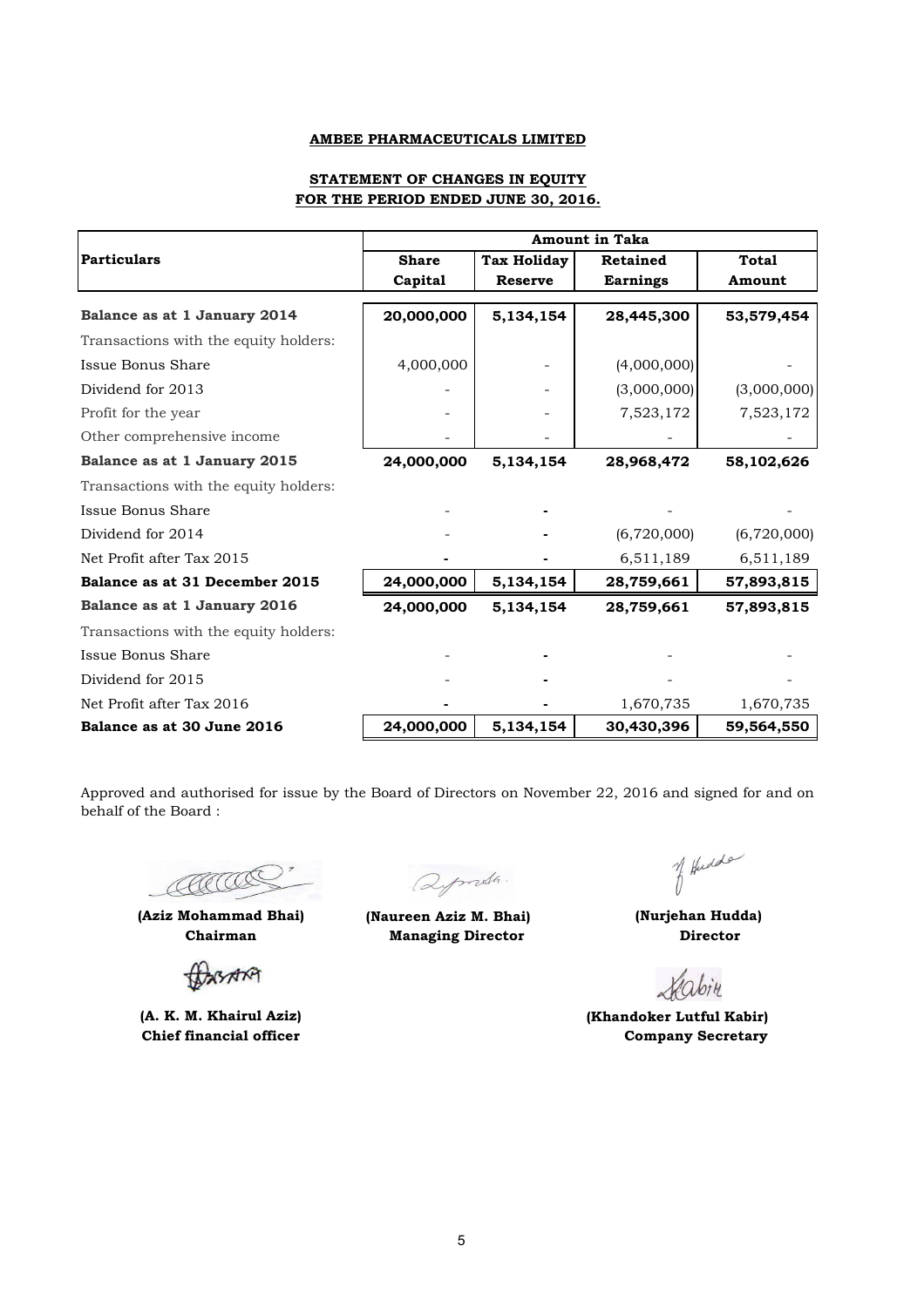## **STATEMENT OF CHANGES IN EQUITY FOR THE PERIOD ENDED JUNE 30, 2016.**

|                                       | <b>Amount in Taka</b> |                    |                 |              |  |
|---------------------------------------|-----------------------|--------------------|-----------------|--------------|--|
| <b>Particulars</b>                    | <b>Share</b>          | <b>Tax Holiday</b> | <b>Retained</b> | <b>Total</b> |  |
|                                       | Capital               | <b>Reserve</b>     | <b>Earnings</b> | Amount       |  |
| Balance as at 1 January 2014          | 20,000,000            | 5,134,154          | 28,445,300      | 53,579,454   |  |
| Transactions with the equity holders: |                       |                    |                 |              |  |
| Issue Bonus Share                     | 4,000,000             |                    | (4,000,000)     |              |  |
| Dividend for 2013                     |                       |                    | (3,000,000)     | (3,000,000)  |  |
| Profit for the year                   |                       |                    | 7,523,172       | 7,523,172    |  |
| Other comprehensive income            |                       |                    |                 |              |  |
| Balance as at 1 January 2015          | 24,000,000            | 5,134,154          | 28,968,472      | 58,102,626   |  |
| Transactions with the equity holders: |                       |                    |                 |              |  |
| Issue Bonus Share                     |                       |                    |                 |              |  |
| Dividend for 2014                     |                       |                    | (6,720,000)     | (6,720,000)  |  |
| Net Profit after Tax 2015             |                       |                    | 6,511,189       | 6,511,189    |  |
| Balance as at 31 December 2015        | 24,000,000            | 5,134,154          | 28,759,661      | 57,893,815   |  |
| Balance as at 1 January 2016          | 24,000,000            | 5,134,154          | 28,759,661      | 57,893,815   |  |
| Transactions with the equity holders: |                       |                    |                 |              |  |
| Issue Bonus Share                     |                       |                    |                 |              |  |
| Dividend for 2015                     |                       |                    |                 |              |  |
| Net Profit after Tax 2016             |                       |                    | 1,670,735       | 1,670,735    |  |
| Balance as at 30 June 2016            | 24,000,000            | 5,134,154          | 30,430,396      | 59,564,550   |  |

Approved and authorised for issue by the Board of Directors on November 22, 2016 and signed for and on behalf of the Board :

CCCCC

BARA

**Chief financial officer**

Qpmsh.

**(Aziz Mohammad Bhai) (Naureen Aziz M. Bhai) Chairman Managing Director** 

of Hudde

 **(Nurjehan Hudda) Director**

Habin

**(A. K. M. Khairul Aziz) (Khandoker Lutful Kabir) Company Secretary**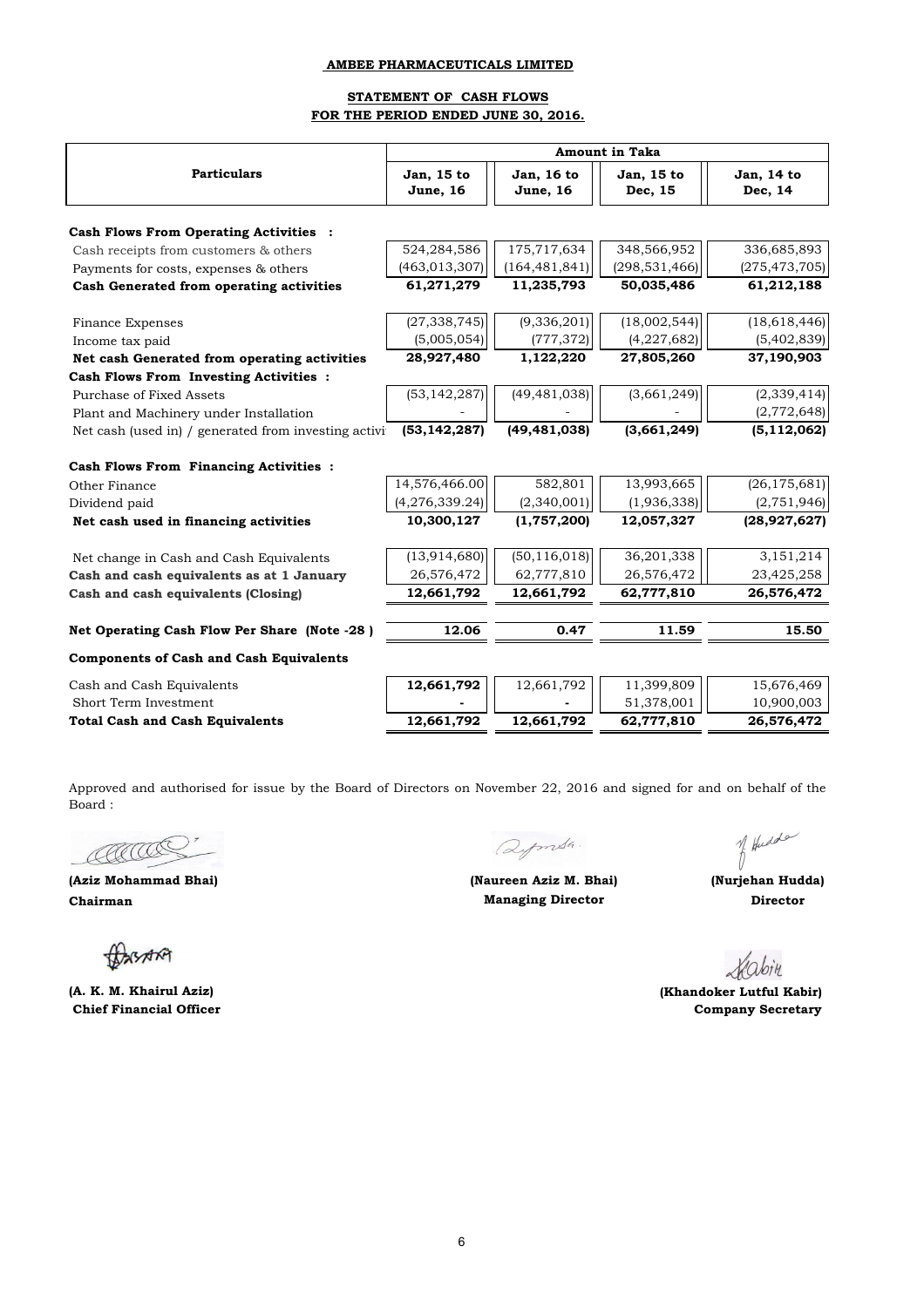## **STATEMENT OF CASH FLOWS FOR THE PERIOD ENDED JUNE 30, 2016.**

|                                                      | <b>Amount in Taka</b>          |                                |                       |                       |  |
|------------------------------------------------------|--------------------------------|--------------------------------|-----------------------|-----------------------|--|
| <b>Particulars</b>                                   | Jan, 15 to<br><b>June</b> , 16 | Jan, 16 to<br><b>June</b> , 16 | Jan, 15 to<br>Dec, 15 | Jan, 14 to<br>Dec, 14 |  |
| <b>Cash Flows From Operating Activities :</b>        |                                |                                |                       |                       |  |
| Cash receipts from customers & others                | 524,284,586                    | 175,717,634                    | 348,566,952           | 336,685,893           |  |
| Payments for costs, expenses & others                | (463, 013, 307)                | (164, 481, 841)                | (298, 531, 466)       | (275, 473, 705)       |  |
| Cash Generated from operating activities             | 61,271,279                     | 11,235,793                     | 50,035,486            | 61,212,188            |  |
| <b>Finance Expenses</b>                              | (27, 338, 745)                 | (9, 336, 201)                  | (18,002,544)          | (18,618,446)          |  |
| Income tax paid                                      | (5,005,054)                    | (777, 372)                     | (4,227,682)           | (5,402,839)           |  |
| Net cash Generated from operating activities         | 28,927,480                     | 1,122,220                      | 27,805,260            | 37,190,903            |  |
| Cash Flows From Investing Activities :               |                                |                                |                       |                       |  |
| Purchase of Fixed Assets                             | (53, 142, 287)                 | (49, 481, 038)                 | (3,661,249)           | (2,339,414)           |  |
| Plant and Machinery under Installation               |                                |                                |                       | (2,772,648)           |  |
| Net cash (used in) / generated from investing activi | (53, 142, 287)                 | (49, 481, 038)                 | (3,661,249)           | (5, 112, 062)         |  |
| <b>Cash Flows From Financing Activities :</b>        |                                |                                |                       |                       |  |
| Other Finance                                        | 14,576,466.00                  | 582,801                        | 13,993,665            | (26, 175, 681)        |  |
| Dividend paid                                        | (4,276,339.24)                 | (2,340,001)                    | (1,936,338)           | (2,751,946)           |  |
| Net cash used in financing activities                | 10,300,127                     | (1,757,200)                    | 12,057,327            | (28, 927, 627)        |  |
| Net change in Cash and Cash Equivalents              | (13, 914, 680)                 | (50, 116, 018)                 | 36,201,338            | 3,151,214             |  |
| Cash and cash equivalents as at 1 January            | 26,576,472                     | 62,777,810                     | 26,576,472            | 23,425,258            |  |
| Cash and cash equivalents (Closing)                  | 12,661,792                     | 12,661,792                     | 62,777,810            | 26,576,472            |  |
| Net Operating Cash Flow Per Share (Note -28)         | 12.06                          | 0.47                           | 11.59                 | 15.50                 |  |
| <b>Components of Cash and Cash Equivalents</b>       |                                |                                |                       |                       |  |
| Cash and Cash Equivalents                            | 12,661,792                     | 12,661,792                     | 11,399,809            | 15,676,469            |  |
| Short Term Investment                                |                                |                                | 51,378,001            | 10,900,003            |  |
| <b>Total Cash and Cash Equivalents</b>               | 12,661,792                     | 12,661,792                     | 62,777,810            | 26,576,472            |  |

Approved and authorised for issue by the Board of Directors on November 22, 2016 and signed for and on behalf of the Board :

COCCOC

**(Aziz Mohammad Bhai) Chairman**

BASARA

**(A. K. M. Khairul Aziz) Chief Financial Officer**

Qpmsh.

of Hudde

**(Naureen Aziz M. Bhai) (Nurjehan Hudda) Managing Director Director**

Habin

 **(Khandoker Lutful Kabir) Company Secretary**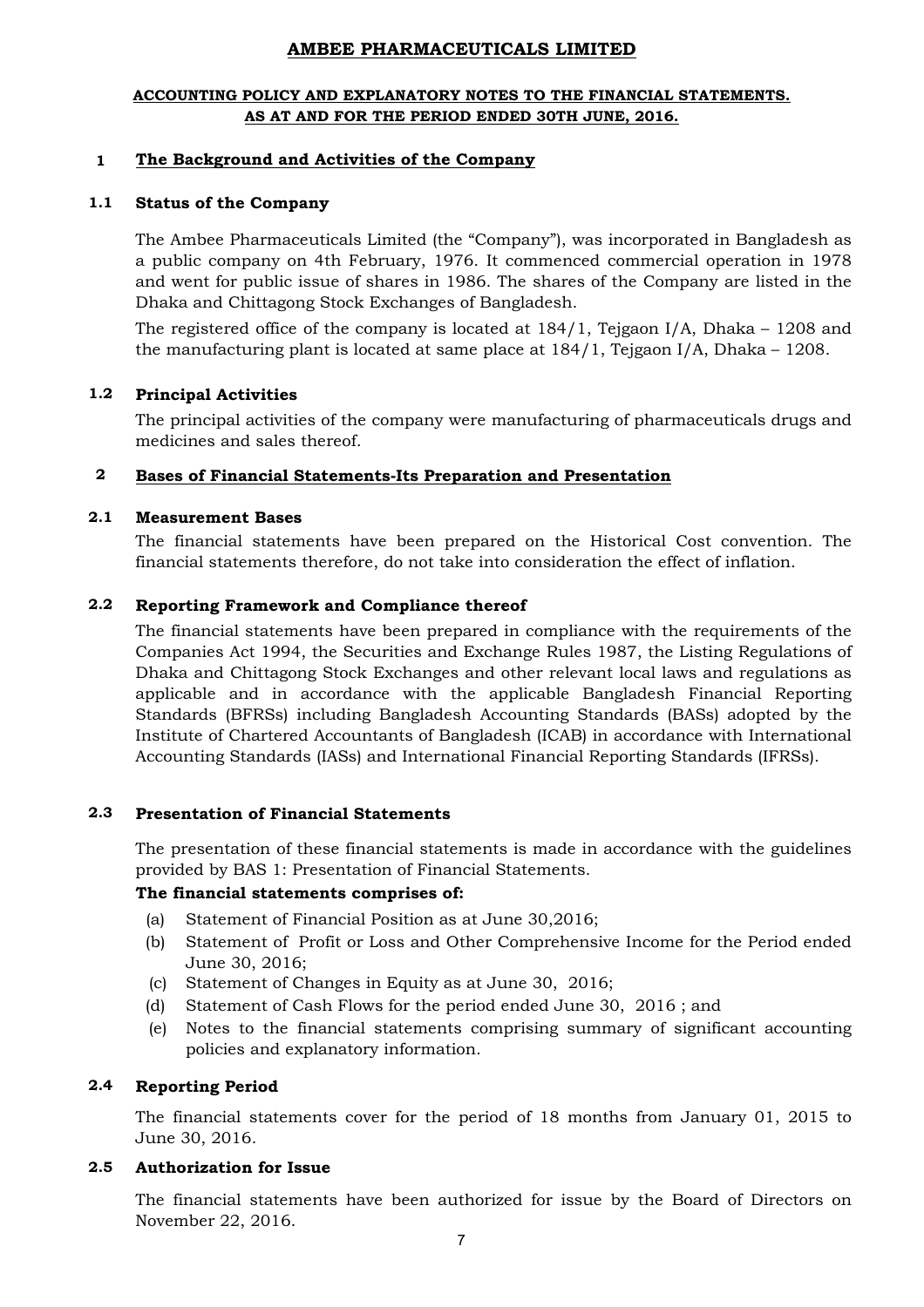## **ACCOUNTING POLICY AND EXPLANATORY NOTES TO THE FINANCIAL STATEMENTS. AS AT AND FOR THE PERIOD ENDED 30TH JUNE, 2016.**

#### **1 The Background and Activities of the Company**

#### **1.1 Status of the Company**

The Ambee Pharmaceuticals Limited (the "Company"), was incorporated in Bangladesh as a public company on 4th February, 1976. It commenced commercial operation in 1978 and went for public issue of shares in 1986. The shares of the Company are listed in the Dhaka and Chittagong Stock Exchanges of Bangladesh.

The registered office of the company is located at 184/1, Tejgaon I/A, Dhaka – 1208 and the manufacturing plant is located at same place at 184/1, Tejgaon I/A, Dhaka – 1208.

#### **1.2 Principal Activities**

The principal activities of the company were manufacturing of pharmaceuticals drugs and medicines and sales thereof.

#### **2 Bases of Financial Statements-Its Preparation and Presentation**

#### **2.1 Measurement Bases**

The financial statements have been prepared on the Historical Cost convention. The financial statements therefore, do not take into consideration the effect of inflation.

#### **2.2 Reporting Framework and Compliance thereof**

The financial statements have been prepared in compliance with the requirements of the Companies Act 1994, the Securities and Exchange Rules 1987, the Listing Regulations of Dhaka and Chittagong Stock Exchanges and other relevant local laws and regulations as applicable and in accordance with the applicable Bangladesh Financial Reporting Standards (BFRSs) including Bangladesh Accounting Standards (BASs) adopted by the Institute of Chartered Accountants of Bangladesh (ICAB) in accordance with International Accounting Standards (IASs) and International Financial Reporting Standards (IFRSs).

#### **2.3 Presentation of Financial Statements**

The presentation of these financial statements is made in accordance with the guidelines provided by BAS 1: Presentation of Financial Statements.

## **The financial statements comprises of:**

- (a) Statement of Financial Position as at June 30,2016;
- (b) Statement of Profit or Loss and Other Comprehensive Income for the Period ended June 30, 2016;
- (c) Statement of Changes in Equity as at June 30, 2016;
- (d) Statement of Cash Flows for the period ended June 30, 2016 ; and
- (e) Notes to the financial statements comprising summary of significant accounting policies and explanatory information.

#### **2.4 Reporting Period**

The financial statements cover for the period of 18 months from January 01, 2015 to June 30, 2016.

#### **2.5 Authorization for Issue**

The financial statements have been authorized for issue by the Board of Directors on November 22, 2016.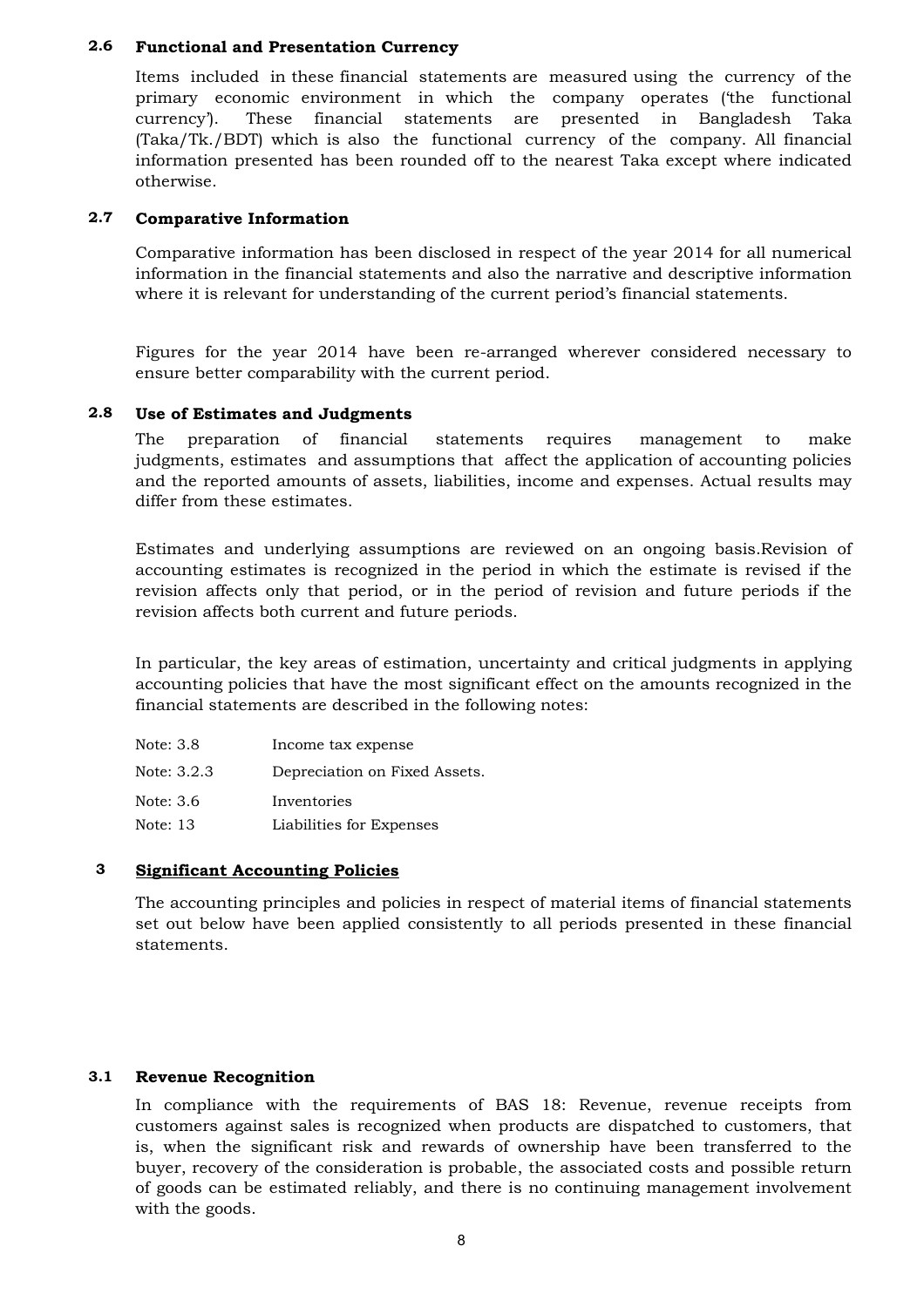#### **2.6 Functional and Presentation Currency**

Items included in these financial statements are measured using the currency of the primary economic environment in which the company operates ('the functional currency'). These financial statements are presented in Bangladesh Taka (Taka/Tk./BDT) which is also the functional currency of the company. All financial information presented has been rounded off to the nearest Taka except where indicated otherwise.

#### **2.7 Comparative Information**

Comparative information has been disclosed in respect of the year 2014 for all numerical information in the financial statements and also the narrative and descriptive information where it is relevant for understanding of the current period's financial statements.

Figures for the year 2014 have been re-arranged wherever considered necessary to ensure better comparability with the current period.

#### **2.8 Use of Estimates and Judgments**

The preparation of financial statements requires management to make judgments, estimates and assumptions that affect the application of accounting policies and the reported amounts of assets, liabilities, income and expenses. Actual results may differ from these estimates.

Estimates and underlying assumptions are reviewed on an ongoing basis.Revision of accounting estimates is recognized in the period in which the estimate is revised if the revision affects only that period, or in the period of revision and future periods if the revision affects both current and future periods.

In particular, the key areas of estimation, uncertainty and critical judgments in applying accounting policies that have the most significant effect on the amounts recognized in the financial statements are described in the following notes:

| Note: 3.8   | Income tax expense            |
|-------------|-------------------------------|
| Note: 3.2.3 | Depreciation on Fixed Assets. |
| Note: 3.6   | Inventories                   |
| Note: 13    | Liabilities for Expenses      |

#### **3 Significant Accounting Policies**

The accounting principles and policies in respect of material items of financial statements set out below have been applied consistently to all periods presented in these financial statements.

#### **3.1 Revenue Recognition**

In compliance with the requirements of BAS 18: Revenue, revenue receipts from customers against sales is recognized when products are dispatched to customers, that is, when the significant risk and rewards of ownership have been transferred to the buyer, recovery of the consideration is probable, the associated costs and possible return of goods can be estimated reliably, and there is no continuing management involvement with the goods.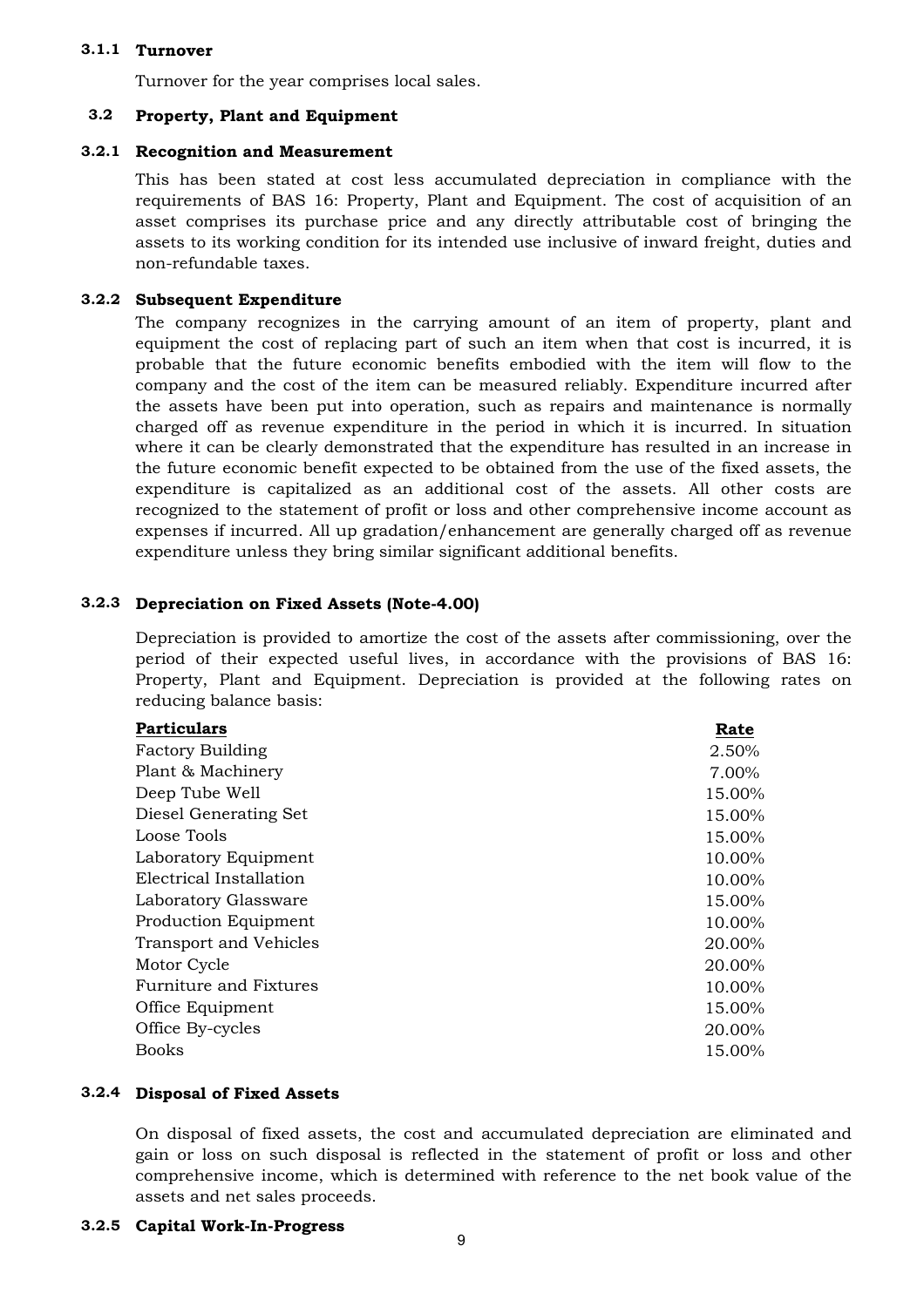## **3.1.1 Turnover**

Turnover for the year comprises local sales.

#### **3.2 Property, Plant and Equipment**

### **3.2.1 Recognition and Measurement**

This has been stated at cost less accumulated depreciation in compliance with the requirements of BAS 16: Property, Plant and Equipment. The cost of acquisition of an asset comprises its purchase price and any directly attributable cost of bringing the assets to its working condition for its intended use inclusive of inward freight, duties and non-refundable taxes.

## **3.2.2 Subsequent Expenditure**

The company recognizes in the carrying amount of an item of property, plant and equipment the cost of replacing part of such an item when that cost is incurred, it is probable that the future economic benefits embodied with the item will flow to the company and the cost of the item can be measured reliably. Expenditure incurred after the assets have been put into operation, such as repairs and maintenance is normally charged off as revenue expenditure in the period in which it is incurred. In situation where it can be clearly demonstrated that the expenditure has resulted in an increase in the future economic benefit expected to be obtained from the use of the fixed assets, the expenditure is capitalized as an additional cost of the assets. All other costs are recognized to the statement of profit or loss and other comprehensive income account as expenses if incurred. All up gradation/enhancement are generally charged off as revenue expenditure unless they bring similar significant additional benefits.

## **3.2.3 Depreciation on Fixed Assets (Note-4.00)**

Depreciation is provided to amortize the cost of the assets after commissioning, over the period of their expected useful lives, in accordance with the provisions of BAS 16: Property, Plant and Equipment. Depreciation is provided at the following rates on reducing balance basis:

| <b>Particulars</b>      | Rate   |
|-------------------------|--------|
| <b>Factory Building</b> | 2.50%  |
| Plant & Machinery       | 7.00%  |
| Deep Tube Well          | 15.00% |
| Diesel Generating Set   | 15.00% |
| Loose Tools             | 15.00% |
| Laboratory Equipment    | 10.00% |
| Electrical Installation | 10.00% |
| Laboratory Glassware    | 15.00% |
| Production Equipment    | 10.00% |
| Transport and Vehicles  | 20.00% |
| Motor Cycle             | 20.00% |
| Furniture and Fixtures  | 10.00% |
| Office Equipment        | 15.00% |
| Office By-cycles        | 20.00% |
| <b>Books</b>            | 15.00% |
|                         |        |

### **3.2.4 Disposal of Fixed Assets**

On disposal of fixed assets, the cost and accumulated depreciation are eliminated and gain or loss on such disposal is reflected in the statement of profit or loss and other comprehensive income, which is determined with reference to the net book value of the assets and net sales proceeds.

## **3.2.5 Capital Work-In-Progress**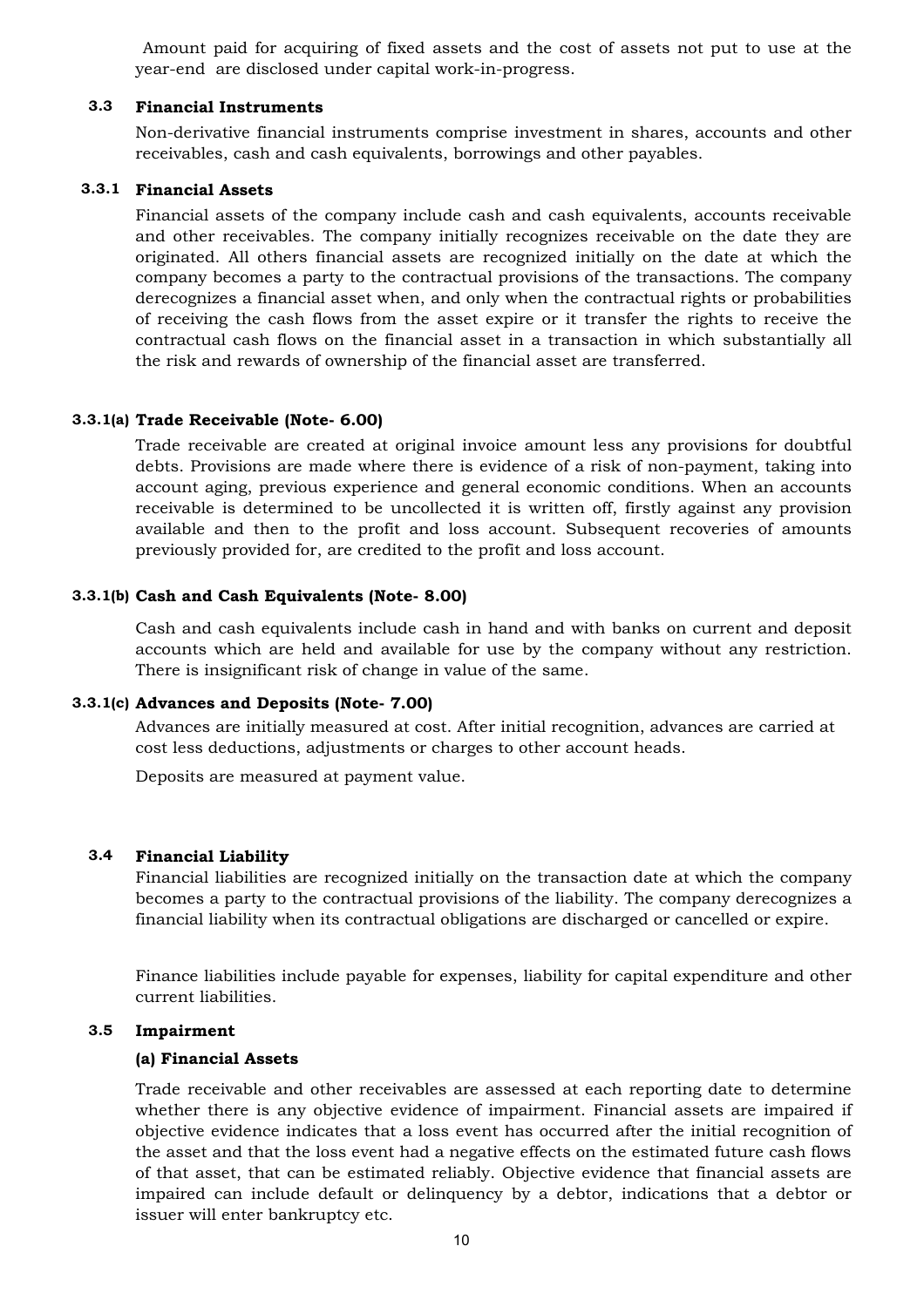Amount paid for acquiring of fixed assets and the cost of assets not put to use at the year-end are disclosed under capital work-in-progress.

#### **3.3 Financial Instruments**

Non-derivative financial instruments comprise investment in shares, accounts and other receivables, cash and cash equivalents, borrowings and other payables.

### **3.3.1 Financial Assets**

Financial assets of the company include cash and cash equivalents, accounts receivable and other receivables. The company initially recognizes receivable on the date they are originated. All others financial assets are recognized initially on the date at which the company becomes a party to the contractual provisions of the transactions. The company derecognizes a financial asset when, and only when the contractual rights or probabilities of receiving the cash flows from the asset expire or it transfer the rights to receive the contractual cash flows on the financial asset in a transaction in which substantially all the risk and rewards of ownership of the financial asset are transferred.

## **3.3.1(a) Trade Receivable (Note- 6.00)**

Trade receivable are created at original invoice amount less any provisions for doubtful debts. Provisions are made where there is evidence of a risk of non-payment, taking into account aging, previous experience and general economic conditions. When an accounts receivable is determined to be uncollected it is written off, firstly against any provision available and then to the profit and loss account. Subsequent recoveries of amounts previously provided for, are credited to the profit and loss account.

### **3.3.1(b) Cash and Cash Equivalents (Note- 8.00)**

Cash and cash equivalents include cash in hand and with banks on current and deposit accounts which are held and available for use by the company without any restriction. There is insignificant risk of change in value of the same.

### **3.3.1(c) Advances and Deposits (Note- 7.00)**

Advances are initially measured at cost. After initial recognition, advances are carried at cost less deductions, adjustments or charges to other account heads.

Deposits are measured at payment value.

#### **3.4 Financial Liability**

Financial liabilities are recognized initially on the transaction date at which the company becomes a party to the contractual provisions of the liability. The company derecognizes a financial liability when its contractual obligations are discharged or cancelled or expire.

Finance liabilities include payable for expenses, liability for capital expenditure and other current liabilities.

#### **3.5 Impairment**

### **(a) Financial Assets**

Trade receivable and other receivables are assessed at each reporting date to determine whether there is any objective evidence of impairment. Financial assets are impaired if objective evidence indicates that a loss event has occurred after the initial recognition of the asset and that the loss event had a negative effects on the estimated future cash flows of that asset, that can be estimated reliably. Objective evidence that financial assets are impaired can include default or delinquency by a debtor, indications that a debtor or issuer will enter bankruptcy etc.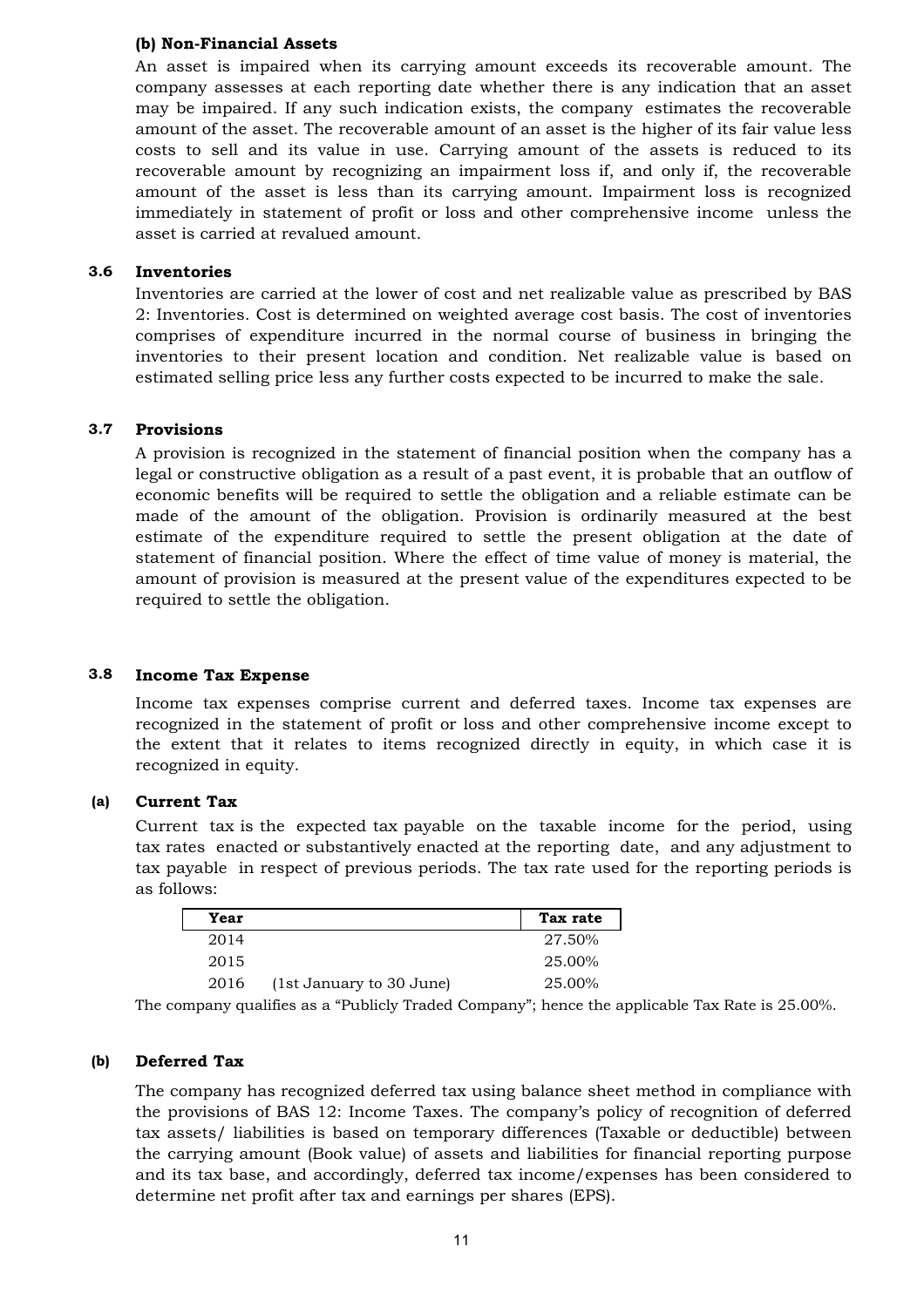## **(b) Non-Financial Assets**

An asset is impaired when its carrying amount exceeds its recoverable amount. The company assesses at each reporting date whether there is any indication that an asset may be impaired. If any such indication exists, the company estimates the recoverable amount of the asset. The recoverable amount of an asset is the higher of its fair value less costs to sell and its value in use. Carrying amount of the assets is reduced to its recoverable amount by recognizing an impairment loss if, and only if, the recoverable amount of the asset is less than its carrying amount. Impairment loss is recognized immediately in statement of profit or loss and other comprehensive income unless the asset is carried at revalued amount.

#### **3.6 Inventories**

Inventories are carried at the lower of cost and net realizable value as prescribed by BAS 2: Inventories. Cost is determined on weighted average cost basis. The cost of inventories comprises of expenditure incurred in the normal course of business in bringing the inventories to their present location and condition. Net realizable value is based on estimated selling price less any further costs expected to be incurred to make the sale.

#### **3.7 Provisions**

A provision is recognized in the statement of financial position when the company has a legal or constructive obligation as a result of a past event, it is probable that an outflow of economic benefits will be required to settle the obligation and a reliable estimate can be made of the amount of the obligation. Provision is ordinarily measured at the best estimate of the expenditure required to settle the present obligation at the date of statement of financial position. Where the effect of time value of money is material, the amount of provision is measured at the present value of the expenditures expected to be required to settle the obligation.

#### **3.8 Income Tax Expense**

Income tax expenses comprise current and deferred taxes. Income tax expenses are recognized in the statement of profit or loss and other comprehensive income except to the extent that it relates to items recognized directly in equity, in which case it is recognized in equity.

#### **(a) Current Tax**

Current tax is the expected tax payable on the taxable income for the period, using tax rates enacted or substantively enacted at the reporting date, and any adjustment to tax payable in respect of previous periods. The tax rate used for the reporting periods is as follows:

| Year |                          | Tax rate |
|------|--------------------------|----------|
| 2014 |                          | 27.50%   |
| 2015 |                          | 25.00%   |
| 2016 | (1st January to 30 June) | 25.00%   |

The company qualifies as a "Publicly Traded Company"; hence the applicable Tax Rate is 25.00%.

#### **(b) Deferred Tax**

The company has recognized deferred tax using balance sheet method in compliance with the provisions of BAS 12: Income Taxes. The company's policy of recognition of deferred tax assets/ liabilities is based on temporary differences (Taxable or deductible) between the carrying amount (Book value) of assets and liabilities for financial reporting purpose and its tax base, and accordingly, deferred tax income/expenses has been considered to determine net profit after tax and earnings per shares (EPS).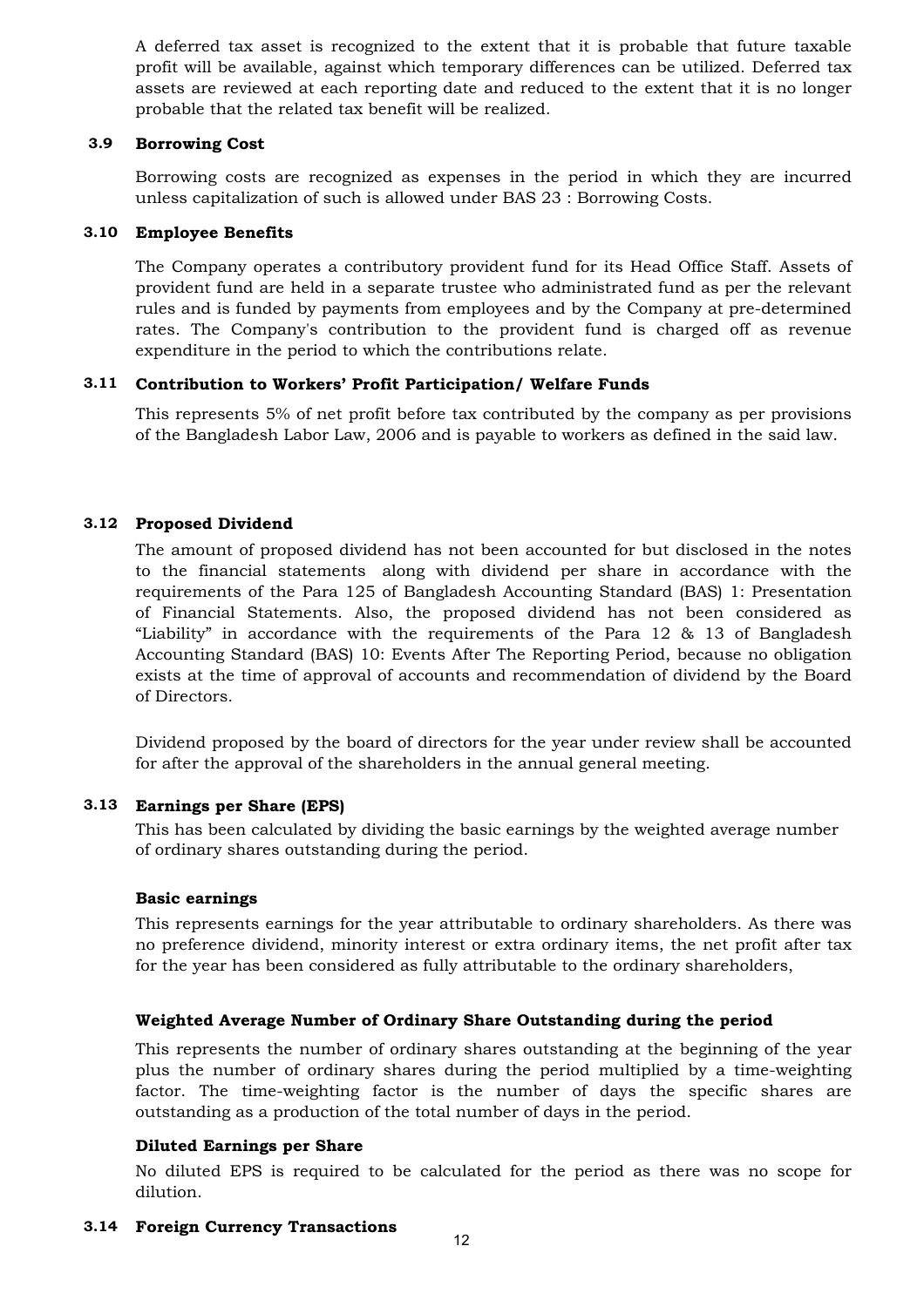A deferred tax asset is recognized to the extent that it is probable that future taxable profit will be available, against which temporary differences can be utilized. Deferred tax assets are reviewed at each reporting date and reduced to the extent that it is no longer probable that the related tax benefit will be realized.

#### **3.9 Borrowing Cost**

Borrowing costs are recognized as expenses in the period in which they are incurred unless capitalization of such is allowed under BAS 23 : Borrowing Costs.

## **3.10 Employee Benefits**

The Company operates a contributory provident fund for its Head Office Staff. Assets of provident fund are held in a separate trustee who administrated fund as per the relevant rules and is funded by payments from employees and by the Company at pre-determined rates. The Company's contribution to the provident fund is charged off as revenue expenditure in the period to which the contributions relate.

## **3.11 Contribution to Workers' Profit Participation/ Welfare Funds**

This represents 5% of net profit before tax contributed by the company as per provisions of the Bangladesh Labor Law, 2006 and is payable to workers as defined in the said law.

## **3.12 Proposed Dividend**

The amount of proposed dividend has not been accounted for but disclosed in the notes to the financial statements along with dividend per share in accordance with the requirements of the Para 125 of Bangladesh Accounting Standard (BAS) 1: Presentation of Financial Statements. Also, the proposed dividend has not been considered as "Liability" in accordance with the requirements of the Para 12 & 13 of Bangladesh Accounting Standard (BAS) 10: Events After The Reporting Period, because no obligation exists at the time of approval of accounts and recommendation of dividend by the Board of Directors.

Dividend proposed by the board of directors for the year under review shall be accounted for after the approval of the shareholders in the annual general meeting.

## **3.13 Earnings per Share (EPS)**

This has been calculated by dividing the basic earnings by the weighted average number of ordinary shares outstanding during the period.

## **Basic earnings**

This represents earnings for the year attributable to ordinary shareholders. As there was no preference dividend, minority interest or extra ordinary items, the net profit after tax for the year has been considered as fully attributable to the ordinary shareholders,

## **Weighted Average Number of Ordinary Share Outstanding during the period**

This represents the number of ordinary shares outstanding at the beginning of the year plus the number of ordinary shares during the period multiplied by a time-weighting factor. The time-weighting factor is the number of days the specific shares are outstanding as a production of the total number of days in the period.

## **Diluted Earnings per Share**

No diluted EPS is required to be calculated for the period as there was no scope for dilution.

## **3.14 Foreign Currency Transactions**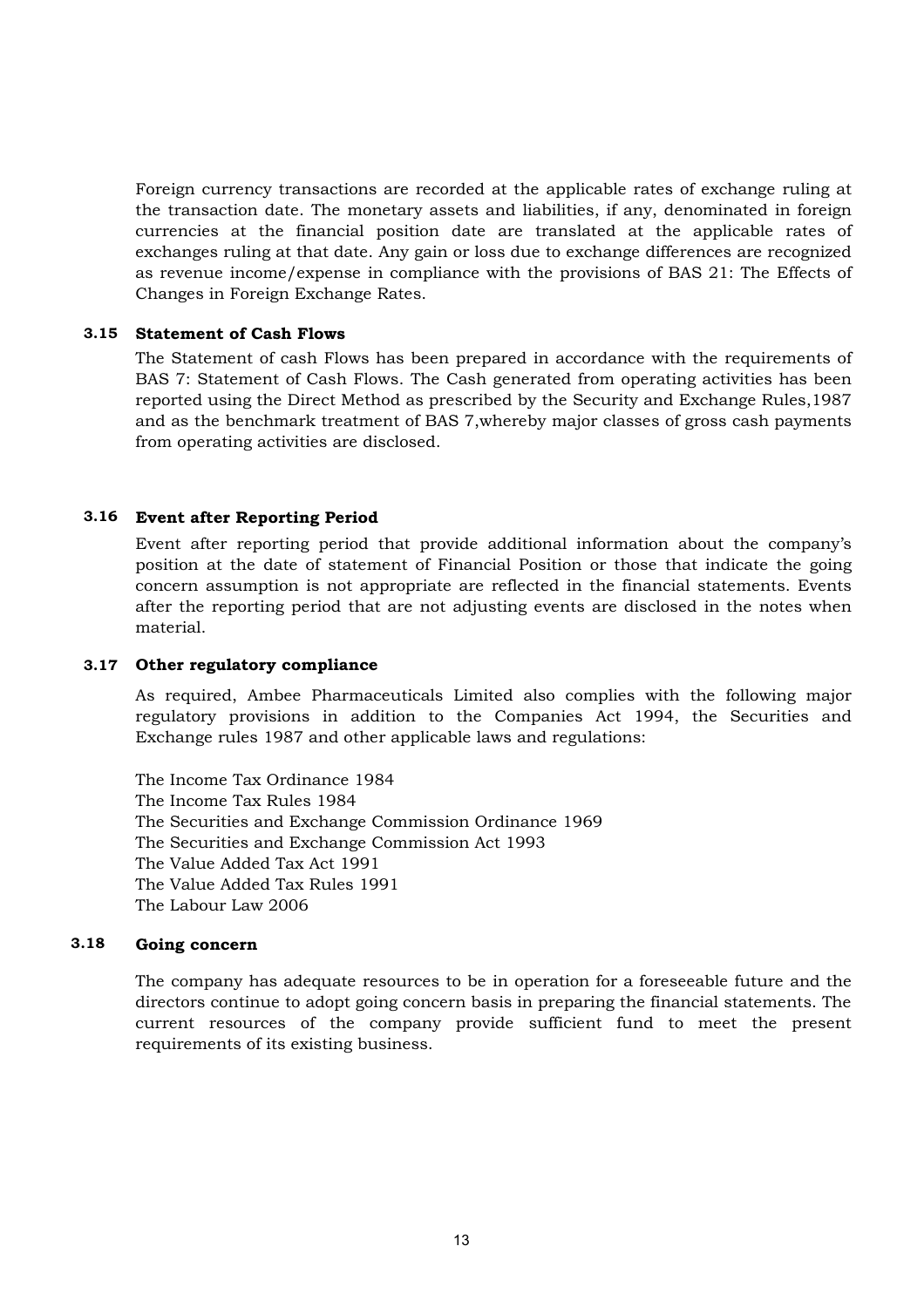Foreign currency transactions are recorded at the applicable rates of exchange ruling at the transaction date. The monetary assets and liabilities, if any, denominated in foreign currencies at the financial position date are translated at the applicable rates of exchanges ruling at that date. Any gain or loss due to exchange differences are recognized as revenue income/expense in compliance with the provisions of BAS 21: The Effects of Changes in Foreign Exchange Rates.

## **3.15 Statement of Cash Flows**

The Statement of cash Flows has been prepared in accordance with the requirements of BAS 7: Statement of Cash Flows. The Cash generated from operating activities has been reported using the Direct Method as prescribed by the Security and Exchange Rules,1987 and as the benchmark treatment of BAS 7,whereby major classes of gross cash payments from operating activities are disclosed.

## **3.16 Event after Reporting Period**

Event after reporting period that provide additional information about the company's position at the date of statement of Financial Position or those that indicate the going concern assumption is not appropriate are reflected in the financial statements. Events after the reporting period that are not adjusting events are disclosed in the notes when material.

## **3.17 Other regulatory compliance**

As required, Ambee Pharmaceuticals Limited also complies with the following major regulatory provisions in addition to the Companies Act 1994, the Securities and Exchange rules 1987 and other applicable laws and regulations:

The Income Tax Ordinance 1984 The Income Tax Rules 1984 The Securities and Exchange Commission Ordinance 1969 The Securities and Exchange Commission Act 1993 The Value Added Tax Act 1991 The Value Added Tax Rules 1991 The Labour Law 2006

#### **3.18 Going concern**

The company has adequate resources to be in operation for a foreseeable future and the directors continue to adopt going concern basis in preparing the financial statements. The current resources of the company provide sufficient fund to meet the present requirements of its existing business.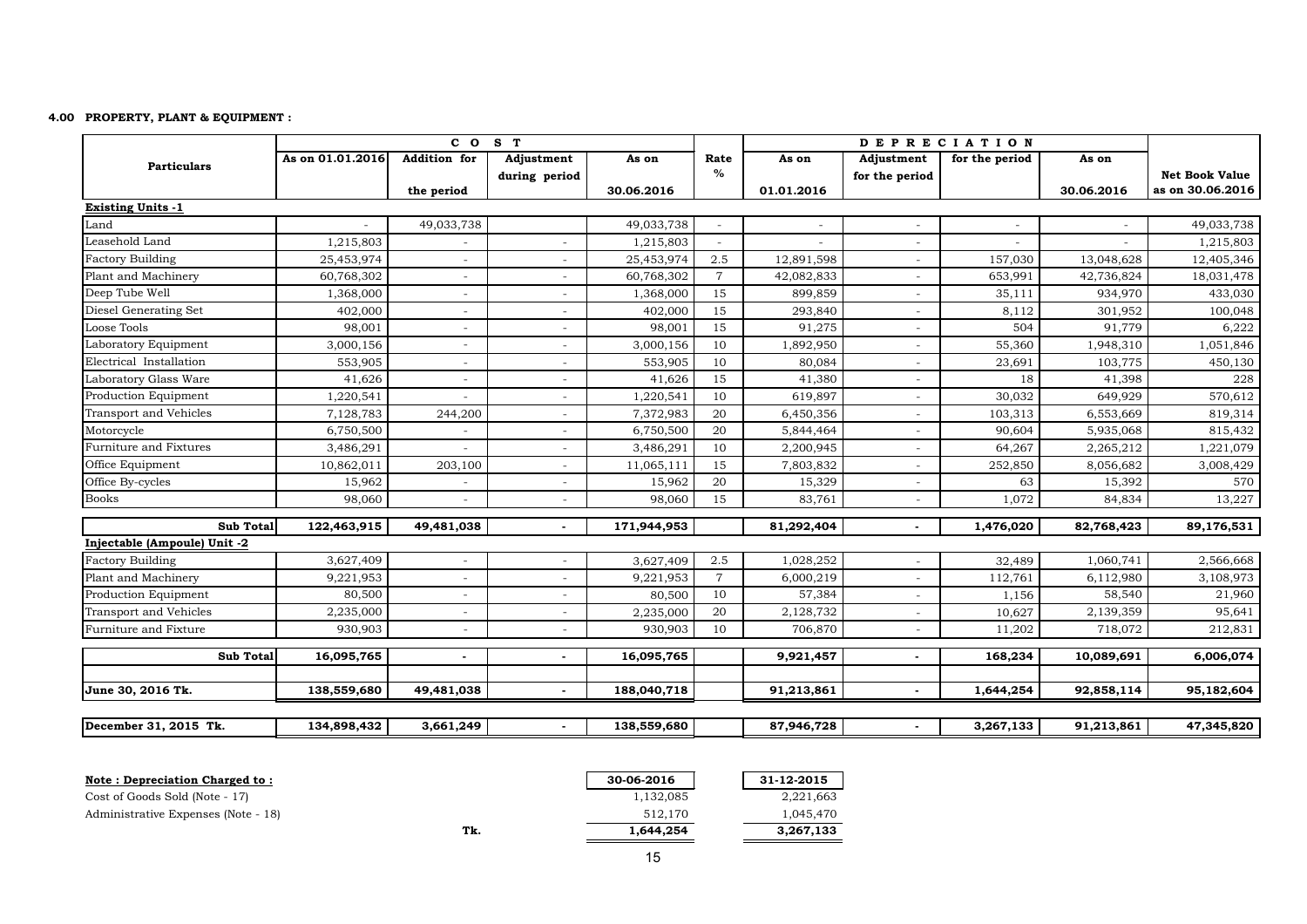### **4.00 PROPERTY, PLANT & EQUIPMENT :**

|                               |                  | CO <sub>S</sub> T        |                              |             |                |            |                          | <b>DEPRECIATION</b> |            |                       |
|-------------------------------|------------------|--------------------------|------------------------------|-------------|----------------|------------|--------------------------|---------------------|------------|-----------------------|
| <b>Particulars</b>            | As on 01.01.2016 | <b>Addition</b> for      | Adjustment                   | As on       | Rate           | As on      | Adjustment               | for the period      | As on      |                       |
|                               |                  |                          | during period                |             | $\%$           |            | for the period           |                     |            | <b>Net Book Value</b> |
|                               |                  | the period               |                              | 30.06.2016  |                | 01.01.2016 |                          |                     | 30.06.2016 | as on 30.06.2016      |
| <b>Existing Units -1</b>      |                  |                          |                              |             |                |            |                          |                     |            |                       |
| Land                          |                  | 49,033,738               |                              | 49,033,738  |                |            |                          |                     |            | 49,033,738            |
| Leasehold Land                | 1,215,803        |                          |                              | 1,215,803   |                |            |                          |                     |            | 1,215,803             |
| <b>Factory Building</b>       | 25,453,974       | $\sim$                   |                              | 25,453,974  | 2.5            | 12,891,598 |                          | 157,030             | 13,048,628 | 12,405,346            |
| Plant and Machinery           | 60,768,302       | $\overline{\phantom{a}}$ |                              | 60,768,302  | $\overline{7}$ | 42,082,833 |                          | 653,991             | 42,736,824 | 18,031,478            |
| Deep Tube Well                | 1,368,000        | $\overline{\phantom{a}}$ | $\qquad \qquad \blacksquare$ | 1,368,000   | 15             | 899,859    |                          | 35,111              | 934,970    | 433,030               |
| Diesel Generating Set         | 402,000          | $\sim$                   | $\overline{\phantom{a}}$     | 402,000     | 15             | 293,840    |                          | 8,112               | 301,952    | 100,048               |
| Loose Tools                   | 98,001           | $\sim$                   | $\equiv$                     | 98,001      | 15             | 91,275     |                          | 504                 | 91,779     | 6,222                 |
| Laboratory Equipment          | 3,000,156        | $\blacksquare$           |                              | 3,000,156   | 10             | 1,892,950  |                          | 55,360              | 1,948,310  | 1,051,846             |
| Electrical Installation       | 553,905          | $\sim$                   | $\blacksquare$               | 553,905     | 10             | 80,084     |                          | 23,691              | 103,775    | 450,130               |
| Laboratory Glass Ware         | 41,626           | $\sim$                   | $\overline{\phantom{a}}$     | 41,626      | 15             | 41,380     | $\overline{\phantom{a}}$ | 18                  | 41,398     | 228                   |
| Production Equipment          | 1,220,541        |                          | $\equiv$                     | 1,220,541   | 10             | 619,897    |                          | 30,032              | 649,929    | 570,612               |
| Transport and Vehicles        | 7,128,783        | 244,200                  |                              | 7,372,983   | 20             | 6,450,356  |                          | 103,313             | 6,553,669  | 819,314               |
| Motorcycle                    | 6,750,500        | $\overline{\phantom{a}}$ | $\overline{\phantom{a}}$     | 6,750,500   | 20             | 5,844,464  |                          | 90,604              | 5,935,068  | 815,432               |
| <b>Furniture and Fixtures</b> | 3,486,291        | $\sim$                   | $\blacksquare$               | 3,486,291   | 10             | 2,200,945  |                          | 64,267              | 2,265,212  | 1,221,079             |
| Office Equipment              | 10,862,011       | 203,100                  |                              | 11,065,111  | 15             | 7,803,832  |                          | 252,850             | 8,056,682  | 3,008,429             |
| Office By-cycles              | 15,962           |                          |                              | 15,962      | 20             | 15,329     |                          | 63                  | 15,392     | 570                   |
| <b>Books</b>                  | 98,060           | $\sim$                   | $\sim$                       | 98,060      | 15             | 83,761     |                          | 1,072               | 84,834     | 13,227                |
| Sub Total                     | 122,463,915      | 49,481,038               |                              | 171,944,953 |                | 81,292,404 |                          | 1,476,020           | 82,768,423 | 89,176,531            |
| Injectable (Ampoule) Unit -2  |                  |                          |                              |             |                |            |                          |                     |            |                       |
| <b>Factory Building</b>       | 3,627,409        | $\sim$                   |                              | 3,627,409   | 2.5            | 1,028,252  |                          | 32,489              | 1,060,741  | 2,566,668             |
| Plant and Machinery           | 9,221,953        | $\sim$                   |                              | 9,221,953   | $\overline{7}$ | 6,000,219  |                          | 112,761             | 6,112,980  | 3,108,973             |
| Production Equipment          | 80,500           | $\sim$                   |                              | 80,500      | 10             | 57,384     |                          | 1,156               | 58,540     | 21,960                |
| <b>Transport and Vehicles</b> | 2,235,000        | $\sim$                   |                              | 2,235,000   | 20             | 2,128,732  |                          | 10,627              | 2,139,359  | 95,641                |
| Furniture and Fixture         | 930,903          | $\blacksquare$           | $\blacksquare$               | 930,903     | 10             | 706,870    |                          | 11,202              | 718,072    | 212,831               |
| <b>Sub Total</b>              | 16,095,765       | $\sim$                   |                              | 16,095,765  |                | 9,921,457  |                          | 168,234             | 10,089,691 | 6,006,074             |
| June 30, 2016 Tk.             | 138,559,680      | 49,481,038               |                              | 188,040,718 |                | 91,213,861 | $\blacksquare$           | 1,644,254           | 92,858,114 | 95,182,604            |
|                               |                  |                          |                              |             |                |            |                          |                     |            |                       |
| December 31, 2015 Tk.         | 134,898,432      | 3,661,249                |                              | 138,559,680 |                | 87,946,728 |                          | 3,267,133           | 91,213,861 | 47,345,820            |

| Note: Depreciation Charged to:      |     | 30-06-2016 | 31-12-2015 |
|-------------------------------------|-----|------------|------------|
| Cost of Goods Sold (Note - 17)      |     | 1.132.085  | 2,221,663  |
| Administrative Expenses (Note - 18) |     | 512.170    | 1.045.470  |
|                                     | Tk. | 1,644,254  | 3,267,133  |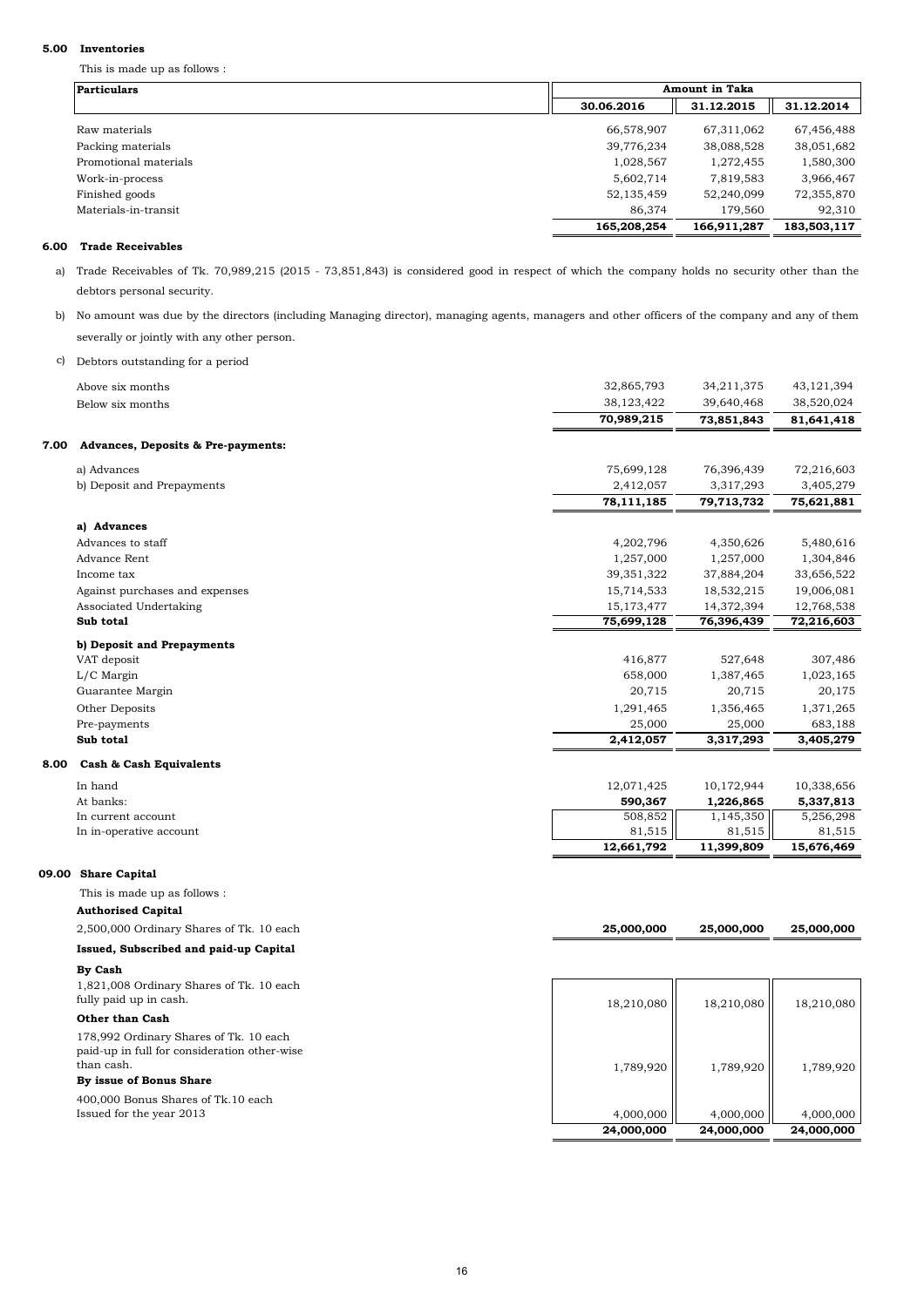This is made up as follows :

### c) Debtors outstanding for a period

#### **5.00 Inventories**

#### **6.00 Trade Receivables**

| <b>Particulars</b>    |             | <b>Amount in Taka</b> |             |  |  |
|-----------------------|-------------|-----------------------|-------------|--|--|
|                       | 30.06.2016  | 31.12.2015            | 31.12.2014  |  |  |
| Raw materials         | 66,578,907  | 67,311,062            | 67,456,488  |  |  |
| Packing materials     | 39,776,234  | 38,088,528            | 38,051,682  |  |  |
| Promotional materials | 1,028,567   | 1,272,455             | 1,580,300   |  |  |
| Work-in-process       | 5,602,714   | 7,819,583             | 3,966,467   |  |  |
| Finished goods        | 52,135,459  | 52,240,099            | 72,355,870  |  |  |
| Materials-in-transit  | 86,374      | 179,560               | 92,310      |  |  |
|                       | 165,208,254 | 166,911,287           | 183,503,117 |  |  |

 a) Trade Receivables of Tk. 70,989,215 (2015 - 73,851,843) is considered good in respect of which the company holds no security other than the debtors personal security.

 b) No amount was due by the directors (including Managing director), managing agents, managers and other officers of the company and any of them severally or jointly with any other person.

|      | 2,500,000 Ordinary Shares of Tk. 10 each | 25,000,000              | 25,000,000              | 25,000,000              |
|------|------------------------------------------|-------------------------|-------------------------|-------------------------|
|      | <b>Authorised Capital</b>                |                         |                         |                         |
|      | This is made up as follows :             |                         |                         |                         |
|      | 09.00 Share Capital                      |                         |                         |                         |
|      |                                          |                         |                         |                         |
|      | In in-operative account                  | 81,515<br>12,661,792    | 81,515<br>11,399,809    | 81,515<br>15,676,469    |
|      | In current account                       | 508,852                 | 1,145,350               | 5,256,298               |
|      | At banks:                                | 590,367                 | 1,226,865               | 5,337,813               |
|      | In hand                                  | 12,071,425              | 10,172,944              | 10,338,656              |
| 8.00 | <b>Cash &amp; Cash Equivalents</b>       |                         |                         |                         |
|      | Sub total                                | 2,412,057               | 3,317,293               | 3,405,279               |
|      | Pre-payments                             | 25,000                  | 25,000                  | 683,188                 |
|      | Other Deposits                           | 1,291,465               | 1,356,465               | 1,371,265               |
|      | Guarantee Margin                         | 20,715                  | 20,715                  | 20,175                  |
|      | L/C Margin                               | 658,000                 | 1,387,465               | 1,023,165               |
|      | VAT deposit                              | 416,877                 | 527,648                 | 307,486                 |
|      | b) Deposit and Prepayments               |                         |                         |                         |
|      | Sub total                                | 75,699,128              | 76,396,439              | 72,216,603              |
|      | Associated Undertaking                   | 15,173,477              | 14,372,394              | 12,768,538              |
|      | Against purchases and expenses           | 15,714,533              | 18,532,215              | 19,006,081              |
|      | Income tax                               | 39, 351, 322            | 37,884,204              | 33,656,522              |
|      | <b>Advance Rent</b>                      | 1,257,000               | 1,257,000               | 1,304,846               |
|      | Advances to staff                        | 4,202,796               | 4,350,626               | 5,480,616               |
|      | a) Advances                              |                         |                         |                         |
|      |                                          |                         |                         |                         |
|      | b) Deposit and Prepayments               | 2,412,057<br>78,111,185 | 3,317,293<br>79,713,732 | 3,405,279<br>75,621,881 |
|      | a) Advances                              | 75,699,128              | 76,396,439              | 72,216,603              |
|      |                                          |                         |                         |                         |
| 7.00 | Advances, Deposits & Pre-payments:       |                         |                         |                         |
|      |                                          | 70,989,215              | 73,851,843              | 81,641,418              |
|      | Below six months                         | 38,123,422              | 39,640,468              | 38,520,024              |
|      | Above six months                         | 32,865,793              | 34,211,375              | 43, 121, 394            |
|      |                                          |                         |                         |                         |

**Issued, Subscribed and paid-up Capital** 

**By Cash**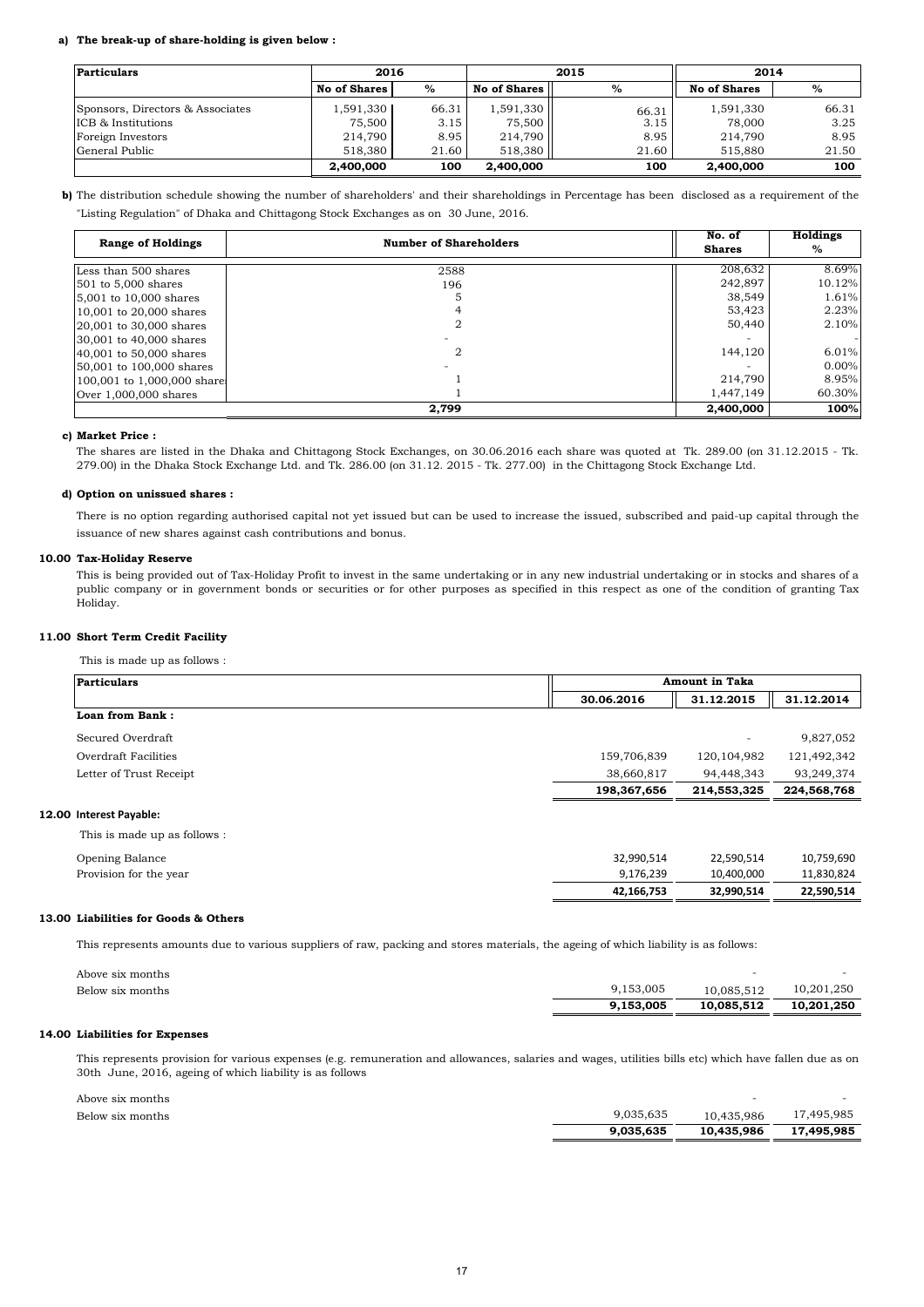#### **a) The break-up of share-holding is given below :**

#### **c) Market Price :**

### **d) Option on unissued shares :**

### **10.00 Tax-Holiday Reserve**

### **11.00 Short Term Credit Facility**

This is made up as follows :

**b)** The distribution schedule showing the number of shareholders' and their shareholdings in Percentage has been disclosed as a requirement of the "Listing Regulation" of Dhaka and Chittagong Stock Exchanges as on 30 June, 2016.

### **13.00 Liabilities for Goods & Others**

| Particulars                      |                     | 2016  |                       | 2015  |                     | 2014  |  |
|----------------------------------|---------------------|-------|-----------------------|-------|---------------------|-------|--|
|                                  | <b>No of Shares</b> | $\%$  | <b>No of Shares</b> I | %     | <b>No of Shares</b> | $\%$  |  |
| Sponsors, Directors & Associates | 1,591,330           | 66.31 | 1,591,330             | 66.31 | 1,591,330           | 66.31 |  |
| <b>ICB</b> & Institutions        | 75,500              | 3.15  | 75,500                | 3.15  | 78,000              | 3.25  |  |
| Foreign Investors                | 214,790             | 8.95  | 214,790               | 8.95  | 214,790             | 8.95  |  |
| General Public                   | 518,380             | 21.60 | 518,380               | 21.60 | 515,880             | 21.50 |  |
|                                  | 2,400,000           | 100   | 2,400,000             | 100   | 2,400,000           | 100   |  |

|                  | 9,153,005 | 10,085,512 | 10,201,250 |
|------------------|-----------|------------|------------|
| Below six months | 9,153,005 | 10,085,512 | 10,201,250 |

#### **14.00 Liabilities for Expenses**

| <b>Particulars</b>           |             | <b>Amount in Taka</b> |             |
|------------------------------|-------------|-----------------------|-------------|
|                              | 30.06.2016  | 31.12.2015            | 31.12.2014  |
| Loan from Bank:              |             |                       |             |
| Secured Overdraft            |             |                       | 9,827,052   |
| Overdraft Facilities         | 159,706,839 | 120, 104, 982         | 121,492,342 |
| Letter of Trust Receipt      | 38,660,817  | 94,448,343            | 93,249,374  |
|                              | 198,367,656 | 214,553,325           | 224,568,768 |
| 12.00 Interest Payable:      |             |                       |             |
| This is made up as follows : |             |                       |             |
| Opening Balance              | 32,990,514  | 22,590,514            | 10,759,690  |
| Provision for the year       | 9,176,239   | 10,400,000            | 11,830,824  |
|                              | 42,166,753  | 32,990,514            | 22,590,514  |

|                  | 9.035.635 | 10.435.986 | 17,495,985 |
|------------------|-----------|------------|------------|
| Below six months | 9,035,635 | 10,435,986 | 17,495,985 |
| Above six months |           |            |            |

| <b>Range of Holdings</b>   | <b>Number of Shareholders</b> | No. of<br><b>Shares</b> | Holdings<br>$\%$ |
|----------------------------|-------------------------------|-------------------------|------------------|
| Less than 500 shares       | 2588                          | 208,632                 | 8.69%            |
| $501$ to 5,000 shares      | 196                           | 242,897                 | 10.12%           |
| $5,001$ to 10,000 shares   |                               | 38,549                  | 1.61%            |
| 10,001 to 20,000 shares    |                               | 53,423                  | 2.23%            |
| 20,001 to 30,000 shares    |                               | 50,440                  | 2.10%            |
| 30,001 to 40,000 shares    |                               |                         |                  |
| 40,001 to 50,000 shares    | 2                             | 144,120                 | 6.01%            |
| 50,001 to 100,000 shares   |                               |                         | $0.00\%$         |
| 100,001 to 1,000,000 share |                               | 214,790                 | 8.95%            |
| Over $1,000,000$ shares    |                               | 1.447.149               | 60.30%           |
|                            | 2,799                         | 2,400,000               | 100%             |

This represents amounts due to various suppliers of raw, packing and stores materials, the ageing of which liability is as follows:

Above six months

| $D_{\text{slow}}$ aivemenths |  |
|------------------------------|--|

This is being provided out of Tax-Holiday Profit to invest in the same undertaking or in any new industrial undertaking or in stocks and shares of a public company or in government bonds or securities or for other purposes as specified in this respect as one of the condition of granting Tax Holiday.

The shares are listed in the Dhaka and Chittagong Stock Exchanges, on 30.06.2016 each share was quoted at Tk. 289.00 (on 31.12.2015 - Tk. 279.00) in the Dhaka Stock Exchange Ltd. and Tk. 286.00 (on 31.12. 2015 - Tk. 277.00) in the Chittagong Stock Exchange Ltd.

There is no option regarding authorised capital not yet issued but can be used to increase the issued, subscribed and paid-up capital through the issuance of new shares against cash contributions and bonus.

This represents provision for various expenses (e.g. remuneration and allowances, salaries and wages, utilities bills etc) which have fallen due as on 30th June, 2016, ageing of which liability is as follows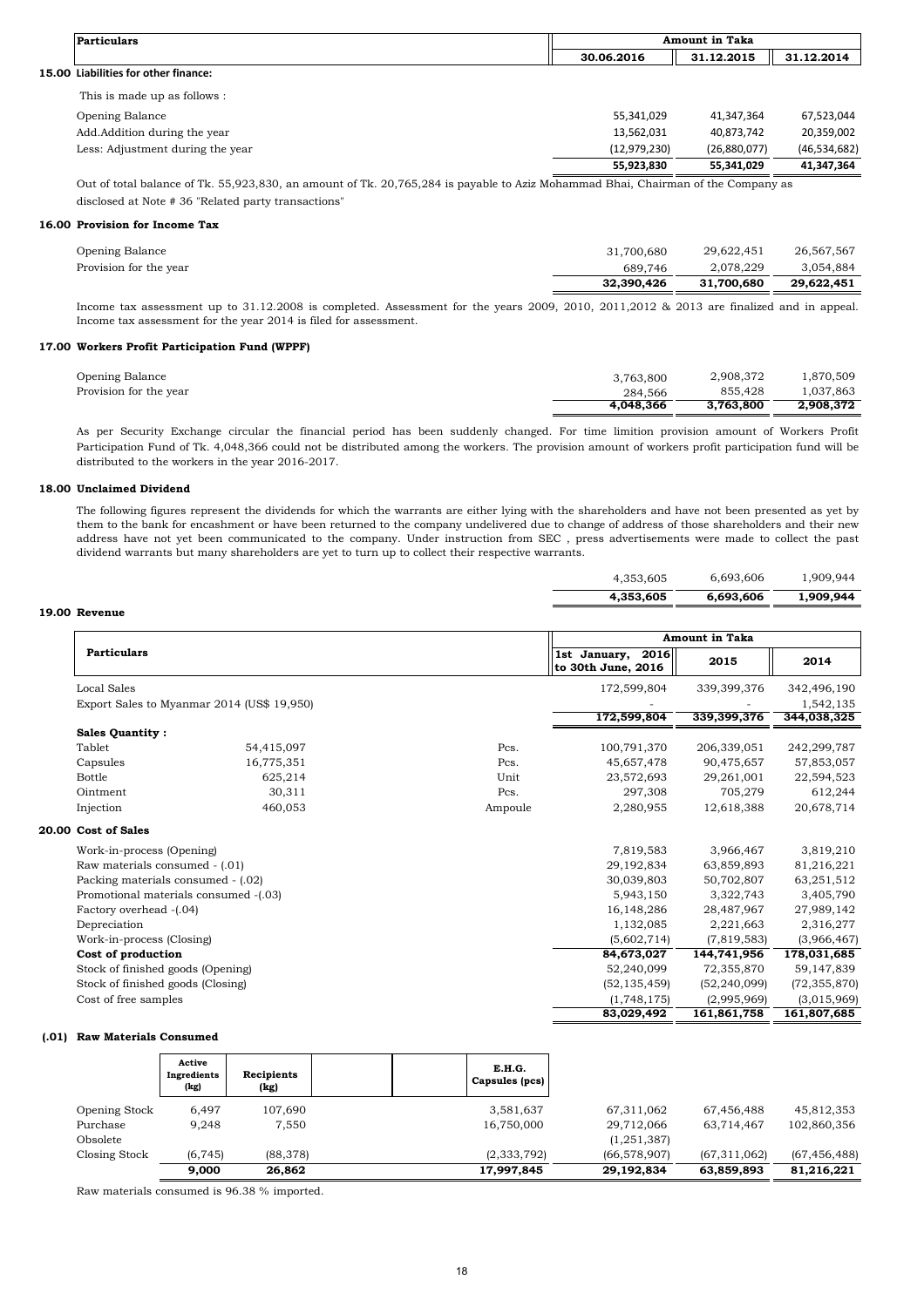Out of total balance of Tk. 55,923,830, an amount of Tk. 20,765,284 is payable to Aziz Mohammad Bhai, Chairman of the Company as disclosed at Note # 36 "Related party transactions"

### **16.00 Provision for Income Tax**

|                        | 32,390,426 | 31.700.680 | 29,622,451 |
|------------------------|------------|------------|------------|
| Provision for the year | 689,746    | 2.078.229  | 3,054,884  |
| Opening Balance        | 31,700,680 | 29,622,451 | 26,567,567 |

### **17.00 Workers Profit Participation Fund (WPPF)**

|                        | 4.048.366 | 3.763.800 | 2,908,372 |
|------------------------|-----------|-----------|-----------|
| Provision for the year | 284,566   | 855.428   | ,037,863  |
| Opening Balance        | 3,763,800 | 2,908,372 | 1,870,509 |

### **18.00 Unclaimed Dividend**

| 4,353,605<br>6,693,606 |  |
|------------------------|--|

#### **19.00 Revenue**

| Particulars                          | <b>Amount in Taka</b> |              |                |
|--------------------------------------|-----------------------|--------------|----------------|
|                                      | 30.06.2016            | 31.12.2015   | 31.12.2014     |
| 15.00 Liabilities for other finance: |                       |              |                |
| This is made up as follows :         |                       |              |                |
| Opening Balance                      | 55,341,029            | 41,347,364   | 67,523,044     |
| Add.Addition during the year         | 13,562,031            | 40,873,742   | 20,359,002     |
| Less: Adjustment during the year     | (12, 979, 230)        | (26,880,077) | (46, 534, 682) |
|                                      | 55,923,830            | 55,341,029   | 41,347,364     |
|                                      |                       |              |                |

| 83,029,492     | 161,861,758    | 161,807,685  |
|----------------|----------------|--------------|
| (1,748,175)    | (2,995,969)    | (3,015,969)  |
| (52, 135, 459) | (52, 240, 099) | (72,355,870) |

#### **(.01) Raw Materials Consumed**

|                                       |                                            |         | <b>Amount in Taka</b>                      |             |             |
|---------------------------------------|--------------------------------------------|---------|--------------------------------------------|-------------|-------------|
| <b>Particulars</b>                    |                                            |         | 2016<br>1st January,<br>to 30th June, 2016 | 2015        | 2014        |
| <b>Local Sales</b>                    |                                            |         | 172,599,804                                | 339,399,376 | 342,496,190 |
|                                       | Export Sales to Myanmar 2014 (US\$ 19,950) |         |                                            |             | 1,542,135   |
|                                       |                                            |         | 172,599,804                                | 339,399,376 | 344,038,325 |
| <b>Sales Quantity:</b>                |                                            |         |                                            |             |             |
| Tablet                                | 54,415,097                                 | Pcs.    | 100,791,370                                | 206,339,051 | 242,299,787 |
| Capsules                              | 16,775,351                                 | Pcs.    | 45,657,478                                 | 90,475,657  | 57,853,057  |
| <b>Bottle</b>                         | 625,214                                    | Unit    | 23,572,693                                 | 29,261,001  | 22,594,523  |
| Ointment                              | 30,311                                     | Pcs.    | 297,308                                    | 705,279     | 612,244     |
| Injection                             | 460,053                                    | Ampoule | 2,280,955                                  | 12,618,388  | 20,678,714  |
| 20.00 Cost of Sales                   |                                            |         |                                            |             |             |
| Work-in-process (Opening)             |                                            |         | 7,819,583                                  | 3,966,467   | 3,819,210   |
| Raw materials consumed - (.01)        |                                            |         | 29,192,834                                 | 63,859,893  | 81,216,221  |
| Packing materials consumed - (.02)    |                                            |         | 30,039,803                                 | 50,702,807  | 63,251,512  |
| Promotional materials consumed -(.03) |                                            |         | 5,943,150                                  | 3,322,743   | 3,405,790   |
| Factory overhead -(.04)               |                                            |         | 16, 148, 286                               | 28,487,967  | 27,989,142  |
| Depreciation                          |                                            |         | 1,132,085                                  | 2,221,663   | 2,316,277   |
| Work-in-process (Closing)             |                                            |         | (5,602,714)                                | (7,819,583) | (3,966,467) |
| Cost of production                    |                                            |         | 84,673,027                                 | 144,741,956 | 178,031,685 |
| Stock of finished goods (Opening)     |                                            |         | 52,240,099                                 | 72,355,870  | 59,147,839  |

Stock of finished goods (Closing) Cost of free samples

|               | Active<br>Ingredients<br>(kg) | Recipients<br>(kg) | E.H.G.<br>Capsules (pcs) |                |                |                |
|---------------|-------------------------------|--------------------|--------------------------|----------------|----------------|----------------|
| Opening Stock | 6,497                         | 107,690            | 3,581,637                | 67,311,062     | 67,456,488     | 45,812,353     |
| Purchase      | 9.248                         | 7,550              | 16,750,000               | 29,712,066     | 63,714,467     | 102,860,356    |
| Obsolete      |                               |                    |                          | (1, 251, 387)  |                |                |
| Closing Stock | (6, 745)                      | (88, 378)          | (2, 333, 792)            | (66, 578, 907) | (67, 311, 062) | (67, 456, 488) |
|               | 9,000                         | 26,862             | 17,997,845               | 29,192,834     | 63,859,893     | 81,216,221     |

Raw materials consumed is 96.38 % imported.

As per Security Exchange circular the financial period has been suddenly changed. For time limition provision amount of Workers Profit Participation Fund of Tk. 4,048,366 could not be distributed among the workers. The provision amount of workers profit participation fund will be distributed to the workers in the year 2016-2017.

Income tax assessment up to 31.12.2008 is completed. Assessment for the years 2009, 2010, 2011,2012 & 2013 are finalized and in appeal. Income tax assessment for the year 2014 is filed for assessment.

The following figures represent the dividends for which the warrants are either lying with the shareholders and have not been presented as yet by them to the bank for encashment or have been returned to the company undelivered due to change of address of those shareholders and their new address have not yet been communicated to the company. Under instruction from SEC , press advertisements were made to collect the past dividend warrants but many shareholders are yet to turn up to collect their respective warrants.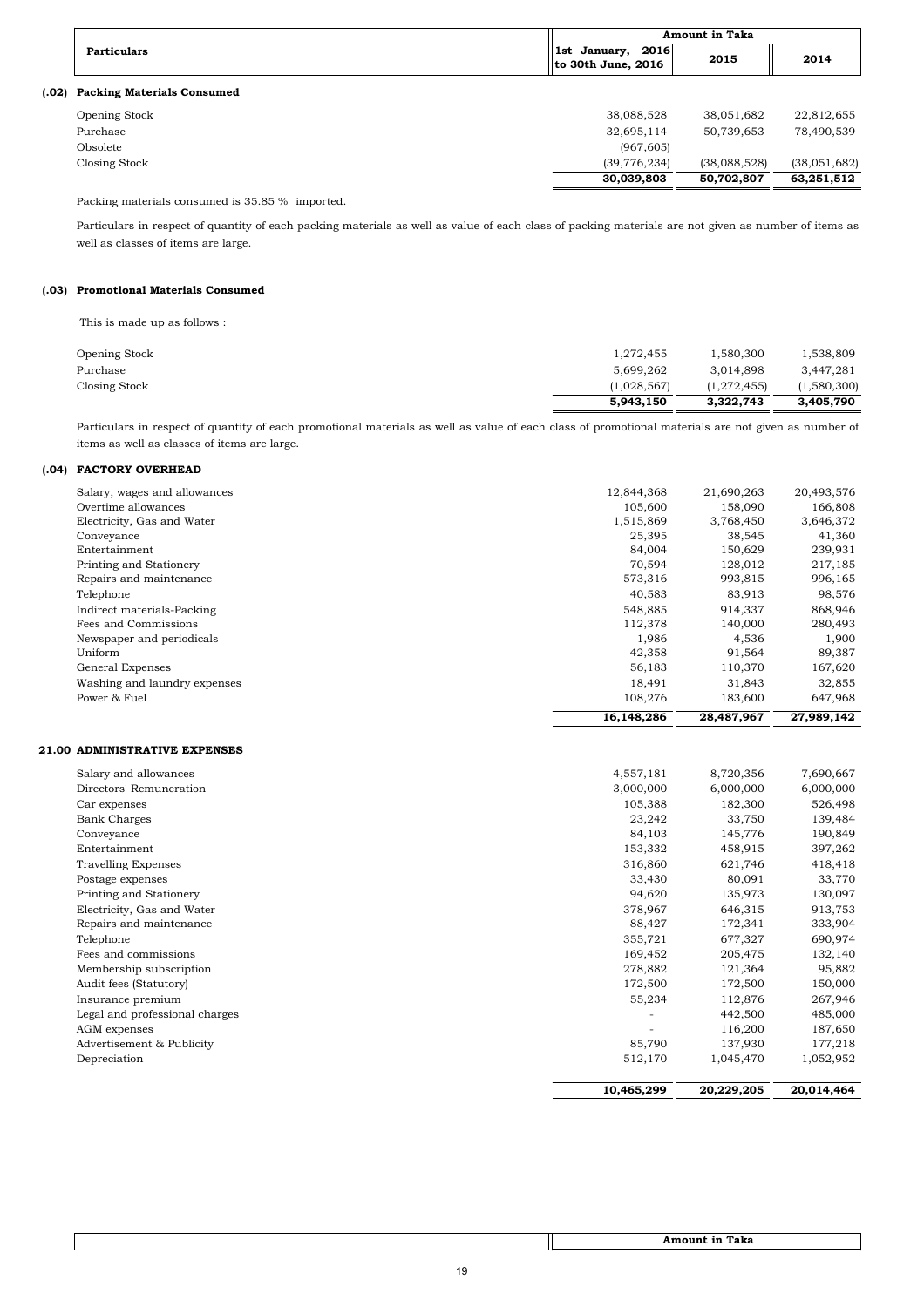Packing materials consumed is 35.85 % imported.

## **(.03) Promotional Materials Consumed**

This is made up as follows :

|                      | 5,943,150   | 3,322,743   | 3,405,790   |
|----------------------|-------------|-------------|-------------|
| Closing Stock        | (1,028,567) | (1,272,455) | (1,580,300) |
| Purchase             | 5,699,262   | 3.014.898   | 3,447,281   |
| <b>Opening Stock</b> | 1,272,455   | 1,580,300   | 1,538,809   |
|                      |             |             |             |

## **(.04) FACTORY OVERHEAD**

|                              | 16,148,286 | 28,487,967 | 27,989,142 |
|------------------------------|------------|------------|------------|
| Power & Fuel                 | 108,276    | 183,600    | 647,968    |
| Washing and laundry expenses | 18,491     | 31,843     | 32,855     |
| General Expenses             | 56,183     | 110,370    | 167,620    |
| Uniform                      | 42,358     | 91,564     | 89,387     |
| Newspaper and periodicals    | 1,986      | 4,536      | 1,900      |
| Fees and Commissions         | 112,378    | 140,000    | 280,493    |
| Indirect materials-Packing   | 548,885    | 914,337    | 868,946    |
| Telephone                    | 40,583     | 83,913     | 98,576     |
| Repairs and maintenance      | 573,316    | 993,815    | 996,165    |
| Printing and Stationery      | 70,594     | 128,012    | 217,185    |
| Entertainment                | 84,004     | 150,629    | 239,931    |
| Conveyance                   | 25,395     | 38,545     | 41,360     |
| Electricity, Gas and Water   | 1,515,869  | 3,768,450  | 3,646,372  |
| Overtime allowances          | 105,600    | 158,090    | 166,808    |
| Salary, wages and allowances | 12,844,368 | 21,690,263 | 20,493,576 |
|                              |            |            |            |

### **21.00 ADMINISTRATIVE EXPENSES**

|       |                                   |                                              | <b>Amount in Taka</b> |              |  |
|-------|-----------------------------------|----------------------------------------------|-----------------------|--------------|--|
|       | <b>Particulars</b>                | $\ $ 1st January, 2016<br>to 30th June, 2016 | 2015                  | 2014         |  |
| (.02) | <b>Packing Materials Consumed</b> |                                              |                       |              |  |
|       | <b>Opening Stock</b>              | 38,088,528                                   | 38,051,682            | 22,812,655   |  |
|       | Purchase                          | 32,695,114                                   | 50,739,653            | 78,490,539   |  |
|       | Obsolete                          | (967, 605)                                   |                       |              |  |
|       | Closing Stock                     | (39, 776, 234)                               | (38,088,528)          | (38,051,682) |  |
|       |                                   | 30,039,803                                   | 50,702,807            | 63,251,512   |  |
|       |                                   |                                              |                       |              |  |

| Salary and allowances          | 4,557,181 | 8,720,356 | 7,690,667 |
|--------------------------------|-----------|-----------|-----------|
| Directors' Remuneration        | 3,000,000 | 6,000,000 | 6,000,000 |
| Car expenses                   | 105,388   | 182,300   | 526,498   |
| <b>Bank Charges</b>            | 23,242    | 33,750    | 139,484   |
| Conveyance                     | 84,103    | 145,776   | 190,849   |
| Entertainment                  | 153,332   | 458,915   | 397,262   |
| <b>Travelling Expenses</b>     | 316,860   | 621,746   | 418,418   |
| Postage expenses               | 33,430    | 80,091    | 33,770    |
| Printing and Stationery        | 94,620    | 135,973   | 130,097   |
| Electricity, Gas and Water     | 378,967   | 646,315   | 913,753   |
| Repairs and maintenance        | 88,427    | 172,341   | 333,904   |
| Telephone                      | 355,721   | 677,327   | 690,974   |
| Fees and commissions           | 169,452   | 205,475   | 132,140   |
| Membership subscription        | 278,882   | 121,364   | 95,882    |
| Audit fees (Statutory)         | 172,500   | 172,500   | 150,000   |
| Insurance premium              | 55,234    | 112,876   | 267,946   |
| Legal and professional charges |           | 442,500   | 485,000   |
| AGM expenses                   |           | 116,200   | 187,650   |
| Advertisement & Publicity      | 85,790    | 137,930   | 177,218   |
| Depreciation                   | 512,170   | 1,045,470 | 1,052,952 |
|                                |           |           |           |

| 10,465,299 | 20,229,205 | 20,014,464 |
|------------|------------|------------|
|            |            |            |

Particulars in respect of quantity of each packing materials as well as value of each class of packing materials are not given as number of items as well as classes of items are large.

Particulars in respect of quantity of each promotional materials as well as value of each class of promotional materials are not given as number of items as well as classes of items are large.

 **Amount in Taka**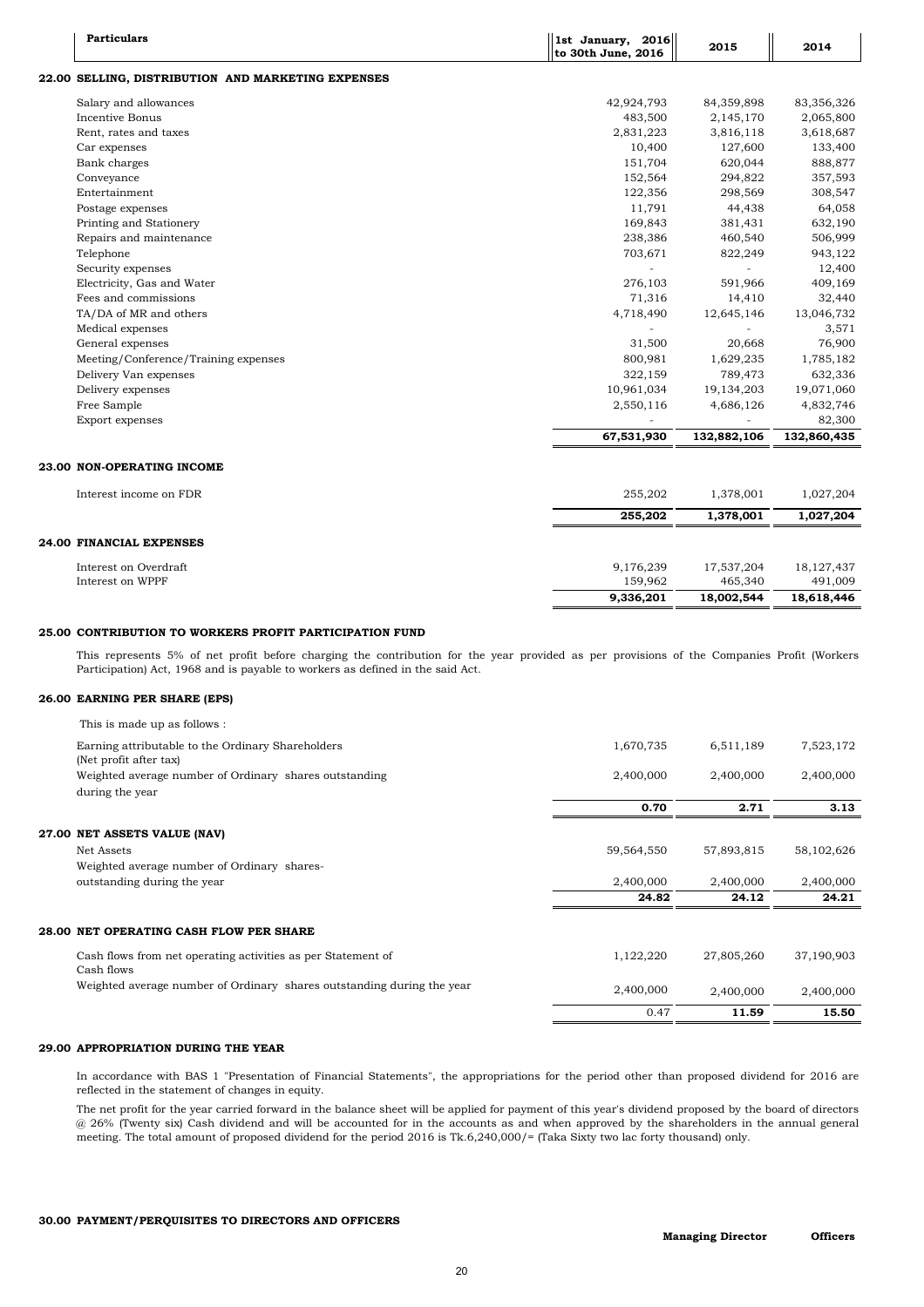Cash flows from net operating activities as per Statement of  $1,122,220$   $27,805,260$   $37,190,903$ Cash flows

## **25.00 CONTRIBUTION TO WORKERS PROFIT PARTICIPATION FUND**

## **26.00 EARNING PER SHARE (EPS)**

| <b>Particulars</b>                                 | 1st January, 2016<br>to 30th June, 2016 | 2015         | 2014         |
|----------------------------------------------------|-----------------------------------------|--------------|--------------|
| 22.00 SELLING, DISTRIBUTION AND MARKETING EXPENSES |                                         |              |              |
| Salary and allowances                              | 42,924,793                              | 84,359,898   | 83,356,326   |
| Incentive Bonus                                    | 483,500                                 | 2,145,170    | 2,065,800    |
| Rent, rates and taxes                              | 2,831,223                               | 3,816,118    | 3,618,687    |
| Car expenses                                       | 10,400                                  | 127,600      | 133,400      |
| Bank charges                                       | 151,704                                 | 620,044      | 888,877      |
| Conveyance                                         | 152,564                                 | 294,822      | 357,593      |
| Entertainment                                      | 122,356                                 | 298,569      | 308,547      |
| Postage expenses                                   | 11,791                                  | 44,438       | 64,058       |
| Printing and Stationery                            | 169,843                                 | 381,431      | 632,190      |
| Repairs and maintenance                            | 238,386                                 | 460,540      | 506,999      |
| Telephone                                          | 703,671                                 | 822,249      | 943,122      |
| Security expenses                                  |                                         |              | 12,400       |
| Electricity, Gas and Water                         | 276,103                                 | 591,966      | 409,169      |
| Fees and commissions                               | 71,316                                  | 14,410       | 32,440       |
| TA/DA of MR and others                             | 4,718,490                               | 12,645,146   | 13,046,732   |
| Medical expenses                                   |                                         |              | 3,571        |
| General expenses                                   | 31,500                                  | 20,668       | 76,900       |
| Meeting/Conference/Training expenses               | 800,981                                 | 1,629,235    | 1,785,182    |
| Delivery Van expenses                              | 322,159                                 | 789,473      | 632,336      |
| Delivery expenses                                  | 10,961,034                              | 19, 134, 203 | 19,071,060   |
| Free Sample                                        | 2,550,116                               | 4,686,126    | 4,832,746    |
| Export expenses                                    |                                         |              | 82,300       |
|                                                    | 67,531,930                              | 132,882,106  | 132,860,435  |
| 23.00 NON-OPERATING INCOME                         |                                         |              |              |
| Interest income on FDR                             | 255,202                                 | 1,378,001    | 1,027,204    |
|                                                    | 255,202                                 | 1,378,001    | 1,027,204    |
| 24.00 FINANCIAL EXPENSES                           |                                         |              |              |
| Interest on Overdraft                              | 9,176,239                               | 17,537,204   | 18, 127, 437 |
| Interest on WPPF                                   | 159,962                                 | 465,340      | 491,009      |
|                                                    | 9,336,201                               | 18,002,544   | 18,618,446   |
|                                                    |                                         |              |              |

| This is made up as follows :                                                |            |            |            |
|-----------------------------------------------------------------------------|------------|------------|------------|
| Earning attributable to the Ordinary Shareholders<br>(Net profit after tax) | 1,670,735  | 6,511,189  | 7,523,172  |
| Weighted average number of Ordinary shares outstanding<br>during the year   | 2,400,000  | 2,400,000  | 2,400,000  |
|                                                                             | 0.70       | 2.71       | 3.13       |
| 27.00 NET ASSETS VALUE (NAV)                                                |            |            |            |
| Net Assets                                                                  | 59,564,550 | 57,893,815 | 58,102,626 |
| Weighted average number of Ordinary shares-                                 |            |            |            |
| outstanding during the year                                                 | 2,400,000  | 2,400,000  | 2,400,000  |
|                                                                             | 24.82      | 24.12      | 24.21      |

## **28.00 NET OPERATING CASH FLOW PER SHARE**

| በ 47      | 11.59     | 15.50     |
|-----------|-----------|-----------|
| 2,400,000 | 2,400,000 | 2,400,000 |

## **29.00 APPROPRIATION DURING THE YEAR**

### **30.00 PAYMENT/PERQUISITES TO DIRECTORS AND OFFICERS**

In accordance with BAS 1 "Presentation of Financial Statements", the appropriations for the period other than proposed dividend for 2016 are reflected in the statement of changes in equity.

> **Officers Managing Director**

The net profit for the year carried forward in the balance sheet will be applied for payment of this year's dividend proposed by the board of directors @ 26% (Twenty six) Cash dividend and will be accounted for in the accounts as and when approved by the shareholders in the annual general meeting. The total amount of proposed dividend for the period 2016 is Tk.6,240,000/= (Taka Sixty two lac forty thousand) only.

This represents 5% of net profit before charging the contribution for the year provided as per provisions of the Companies Profit (Workers Participation) Act, 1968 and is payable to workers as defined in the said Act.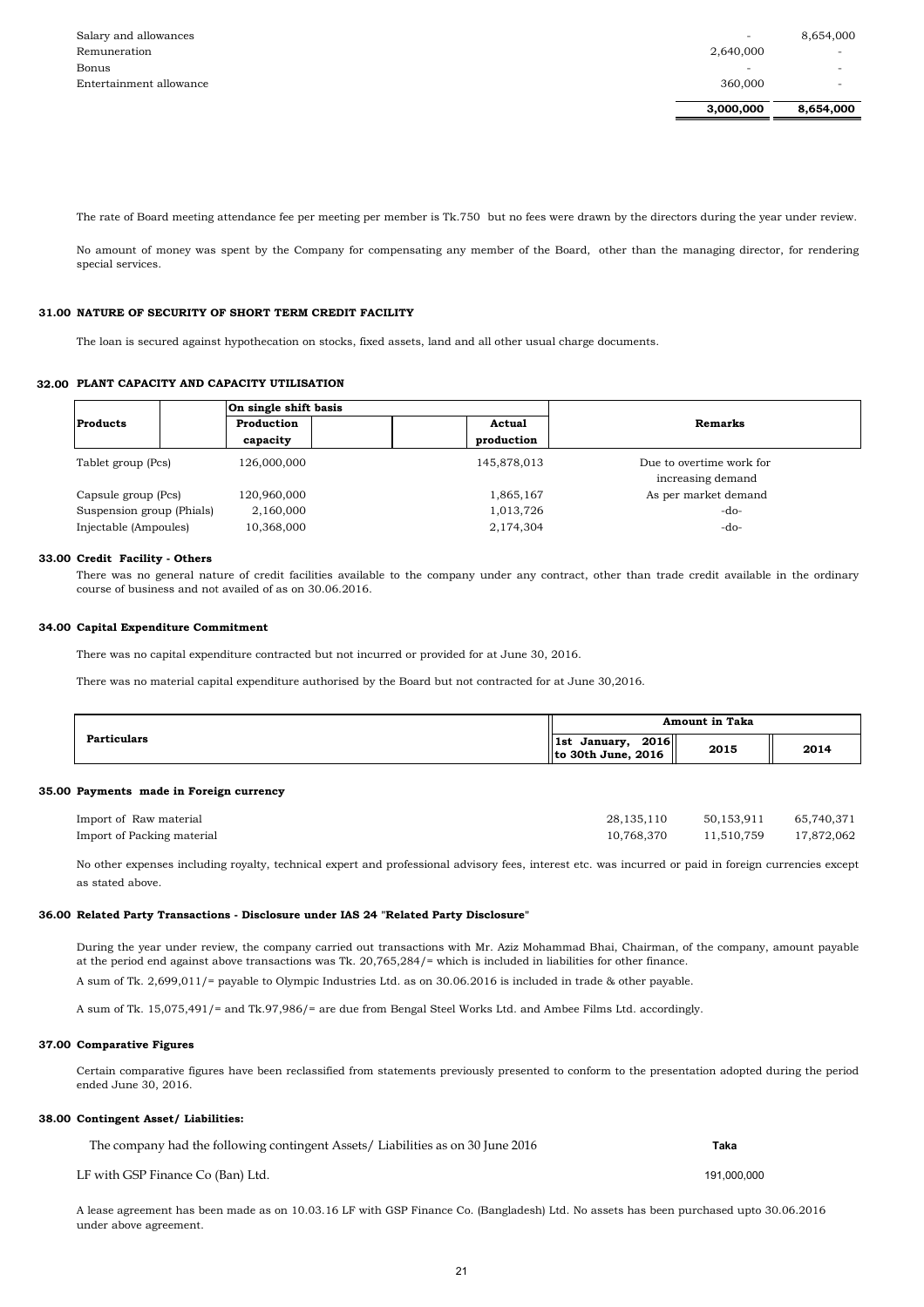|                         | 3,000,000                | 8,654,000                |
|-------------------------|--------------------------|--------------------------|
| Entertainment allowance | 360,000                  | $\overline{\phantom{0}}$ |
| Bonus                   | $\overline{\phantom{0}}$ | $\overline{\phantom{0}}$ |
| Remuneration            | 2,640,000                | $\overline{\phantom{0}}$ |
| Salary and allowances   | $\overline{\phantom{0}}$ | 8,654,000                |

### **31.00 NATURE OF SECURITY OF SHORT TERM CREDIT FACILITY**

#### **32.00 PLANT CAPACITY AND CAPACITY UTILISATION**

#### **34.00 Capital Expenditure Commitment**

#### **35.00 Payments made in Foreign currency**

| Import of Raw material     | 28, 135, 110 | 50,153,911            | 65,740,371 |
|----------------------------|--------------|-----------------------|------------|
| Import of Packing material | 10,768,370   | 11,510,759 17,872,062 |            |

### **36.00 Related Party Transactions - Disclosure under IAS 24 "Related Party Disclosure"**

### **37.00 Comparative Figures**

### **38.00 Contingent Asset/ Liabilities:**

 **Taka**

A sum of Tk. 15,075,491/= and Tk.97,986/= are due from Bengal Steel Works Ltd. and Ambee Films Ltd. accordingly.

A sum of Tk. 2,699,011/= payable to Olympic Industries Ltd. as on 30.06.2016 is included in trade & other payable.

Certain comparative figures have been reclassified from statements previously presented to conform to the presentation adopted during the period ended June 30, 2016.

There was no capital expenditure contracted but not incurred or provided for at June 30, 2016.

No other expenses including royalty, technical expert and professional advisory fees, interest etc. was incurred or paid in foreign currencies except as stated above.

|                           | On single shift basis<br>Production<br>Actual<br>production<br>capacity |             |                          |
|---------------------------|-------------------------------------------------------------------------|-------------|--------------------------|
| <b>Products</b>           |                                                                         |             | Remarks                  |
|                           |                                                                         |             |                          |
| Tablet group (Pcs)        | 126,000,000                                                             | 145,878,013 | Due to overtime work for |
|                           |                                                                         |             | increasing demand        |
| Capsule group (Pcs)       | 120,960,000                                                             | 1,865,167   | As per market demand     |
| Suspension group (Phials) | 2,160,000                                                               | 1,013,726   | $-do-$                   |
| Injectable (Ampoules)     | 10,368,000                                                              | 2,174,304   | $-do-$                   |

#### **33.00 Credit Facility - Others**

A lease agreement has been made as on 10.03.16 LF with GSP Finance Co. (Bangladesh) Ltd. No assets has been purchased upto 30.06.2016 under above agreement.

| <b>Particulars</b> | <b>Amount in Taka</b>                                        |      |      |
|--------------------|--------------------------------------------------------------|------|------|
|                    | 2016<br>ll 1st<br>January,<br>$\parallel$ to 30th June, 2016 | 2015 | 2014 |

During the year under review, the company carried out transactions with Mr. Aziz Mohammad Bhai, Chairman, of the company, amount payable at the period end against above transactions was Tk. 20,765,284/= which is included in liabilities for other finance.

The company had the following contingent Assets/ Liabilities as on 30 June 2016

LF with GSP Finance Co (Ban) Ltd. 191,000,000 and the state of the state of the state of the state of the state of the state of the state of the state of the state of the state of the state of the state of the state of the

The rate of Board meeting attendance fee per meeting per member is Tk.750 but no fees were drawn by the directors during the year under review.

No amount of money was spent by the Company for compensating any member of the Board, other than the managing director, for rendering special services.

The loan is secured against hypothecation on stocks, fixed assets, land and all other usual charge documents.

There was no general nature of credit facilities available to the company under any contract, other than trade credit available in the ordinary course of business and not availed of as on 30.06.2016.

There was no material capital expenditure authorised by the Board but not contracted for at June 30,2016.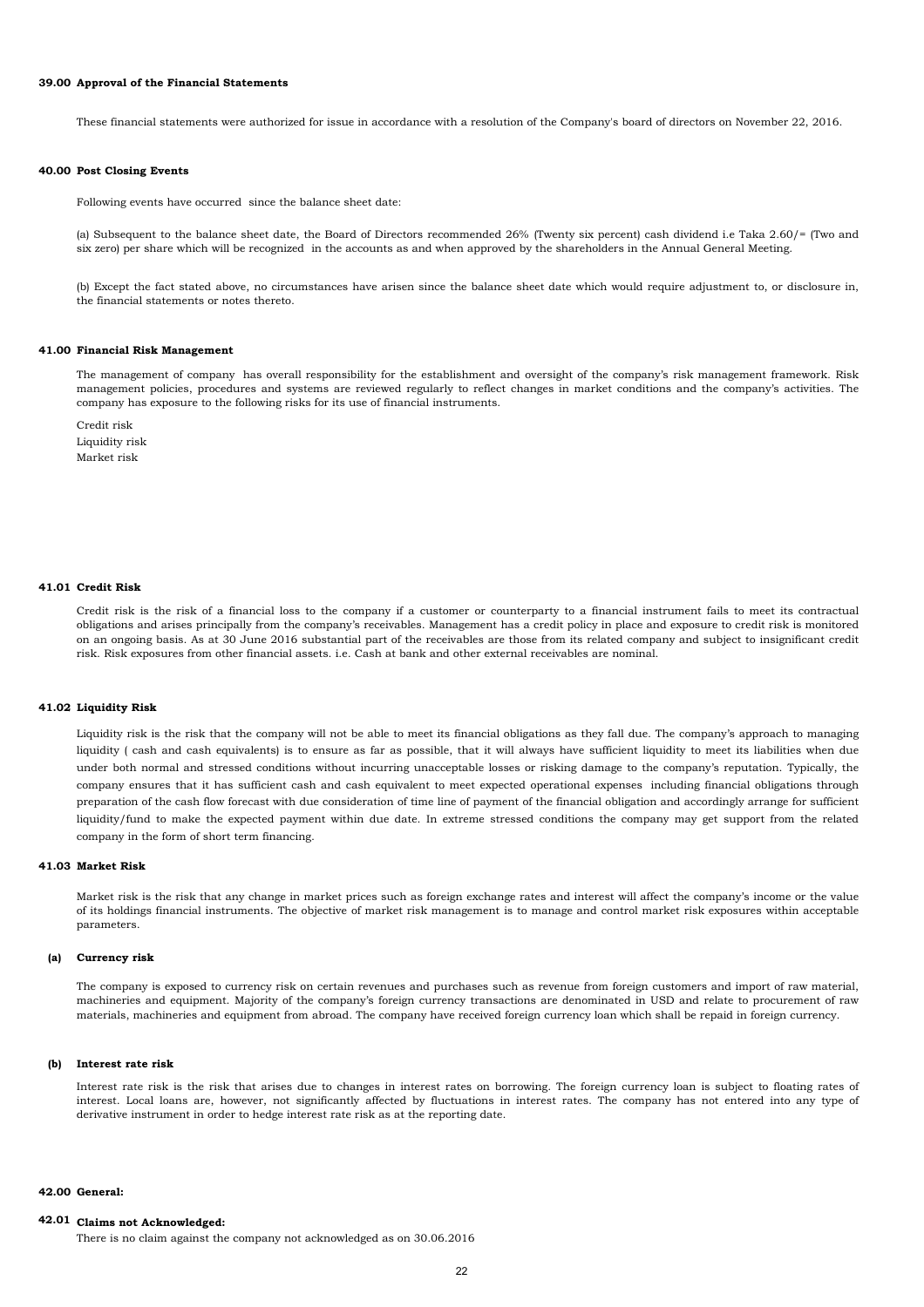#### **39.00 Approval of the Financial Statements**

#### **40.00 Post Closing Events**

Following events have occurred since the balance sheet date:

#### **41.00 Financial Risk Management**

Credit risk Liquidity risk Market risk

#### **41.01 Credit Risk**

## **41.03 Market Risk**

#### **42.00 General:**

## **42.01 Claims not Acknowledged:**

Interest rate risk is the risk that arises due to changes in interest rates on borrowing. The foreign currency loan is subject to floating rates of interest. Local loans are, however, not significantly affected by fluctuations in interest rates. The company has not entered into any type of derivative instrument in order to hedge interest rate risk as at the reporting date.

The management of company has overall responsibility for the establishment and oversight of the company's risk management framework. Risk management policies, procedures and systems are reviewed regularly to reflect changes in market conditions and the company's activities. The company has exposure to the following risks for its use of financial instruments.

#### **(b) Interest rate risk**

#### **41.02 Liquidity Risk**

Credit risk is the risk of a financial loss to the company if a customer or counterparty to a financial instrument fails to meet its contractual obligations and arises principally from the company's receivables. Management has a credit policy in place and exposure to credit risk is monitored on an ongoing basis. As at 30 June 2016 substantial part of the receivables are those from its related company and subject to insignificant credit risk. Risk exposures from other financial assets. i.e. Cash at bank and other external receivables are nominal.

The company is exposed to currency risk on certain revenues and purchases such as revenue from foreign customers and import of raw material, machineries and equipment. Majority of the company's foreign currency transactions are denominated in USD and relate to procurement of raw materials, machineries and equipment from abroad. The company have received foreign currency loan which shall be repaid in foreign currency.

Market risk is the risk that any change in market prices such as foreign exchange rates and interest will affect the company's income or the value of its holdings financial instruments. The objective of market risk management is to manage and control market risk exposures within acceptable parameters.

There is no claim against the company not acknowledged as on 30.06.2016

These financial statements were authorized for issue in accordance with a resolution of the Company's board of directors on November 22, 2016.

Liquidity risk is the risk that the company will not be able to meet its financial obligations as they fall due. The company's approach to managing liquidity ( cash and cash equivalents) is to ensure as far as possible, that it will always have sufficient liquidity to meet its liabilities when due under both normal and stressed conditions without incurring unacceptable losses or risking damage to the company's reputation. Typically, the company ensures that it has sufficient cash and cash equivalent to meet expected operational expenses including financial obligations through preparation of the cash flow forecast with due consideration of time line of payment of the financial obligation and accordingly arrange for sufficient liquidity/fund to make the expected payment within due date. In extreme stressed conditions the company may get support from the related company in the form of short term financing.

(a) Subsequent to the balance sheet date, the Board of Directors recommended 26% (Twenty six percent) cash dividend i.e Taka 2.60/= (Two and six zero) per share which will be recognized in the accounts as and when approved by the shareholders in the Annual General Meeting.

(b) Except the fact stated above, no circumstances have arisen since the balance sheet date which would require adjustment to, or disclosure in, the financial statements or notes thereto.